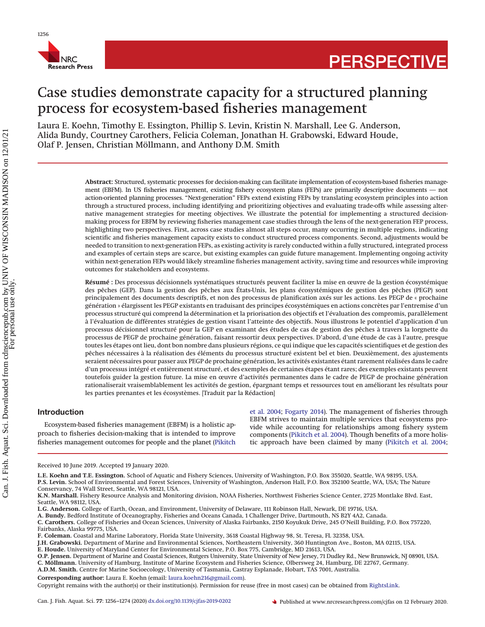

# Case studies demonstrate capacity for a structured planning process for ecosystem-based fisheries management

Laura E. Koehn, Timothy E. Essington, Phillip S. Levin, Kristin N. Marshall, Lee G. Anderson, Alida Bundy, Courtney Carothers, Felicia Coleman, Jonathan H. Grabowski, Edward Houde, Olaf P. Jensen, Christian Möllmann, and Anthony D.M. Smith

> **Abstract:** Structured, systematic processes for decision-making can facilitate implementation of ecosystem-based fisheries management (EBFM). In US fisheries management, existing fishery ecosystem plans (FEPs) are primarily descriptive documents — not action-oriented planning processes. "Next-generation" FEPs extend existing FEPs by translating ecosystem principles into action through a structured process, including identifying and prioritizing objectives and evaluating trade-offs while assessing alternative management strategies for meeting objectives. We illustrate the potential for implementing a structured decisionmaking process for EBFM by reviewing fisheries management case studies through the lens of the next-generation FEP process, highlighting two perspectives. First, across case studies almost all steps occur, many occurring in multiple regions, indicating scientific and fisheries management capacity exists to conduct structured process components. Second, adjustments would be needed to transition to next-generation FEPs, as existing activity is rarely conducted within a fully structured, integrated process and examples of certain steps are scarce, but existing examples can guide future management. Implementing ongoing activity within next-generation FEPs would likely streamline fisheries management activity, saving time and resources while improving outcomes for stakeholders and ecosystems.

> **Résumé :** Des processus décisionnels systématiques structurés peuvent faciliter la mise en œuvre de la gestion écosystémique des pêches (GEP). Dans la gestion des pêches aux États-Unis, les plans écosystémiques de gestion des pêches (PEGP) sont principalement des documents descriptifs, et non des processus de planification axés sur les actions. Les PEGP de « prochaine génération » élargissent les PEGP existants en traduisant des principes écosystémiques en actions concrètes par l'entremise d'un processus structuré qui comprend la détermination et la priorisation des objectifs et l'évaluation des compromis, parallèlement à l'évaluation de différentes stratégies de gestion visant l'atteinte des objectifs. Nous illustrons le potentiel d'application d'un processus décisionnel structuré pour la GEP en examinant des études de cas de gestion des pêches à travers la lorgnette du processus de PEGP de prochaine génération, faisant ressortir deux perspectives. D'abord, d'une étude de cas à l'autre, presque toutes les étapes ont lieu, dont bon nombre dans plusieurs régions, ce qui indique que les capacités scientifiques et de gestion des pêches nécessaires à la réalisation des éléments du processus structuré existent bel et bien. Deuxièmement, des ajustements seraient nécessaires pour passer aux PEGP de prochaine génération, les activités existantes étant rarement réalisées dans le cadre d'un processus intégré et entièrement structuré, et des exemples de certaines étapes étant rares; des exemples existants peuvent toutefois guider la gestion future. La mise en œuvre d'activités permanentes dans le cadre de PEGP de prochaine génération rationaliserait vraisemblablement les activités de gestion, épargnant temps et ressources tout en améliorant les résultats pour les parties prenantes et les écosystèmes. [Traduit par la Rédaction]

# **Introduction**

Ecosystem-based fisheries management (EBFM) is a holistic approach to fisheries decision-making that is intended to improve fisheries management outcomes for people and the planet [\(Pikitch](#page-11-0) [et al. 2004;](#page-11-0) [Fogarty 2014\)](#page-10-0). The management of fisheries through EBFM strives to maintain multiple services that ecosystems provide while accounting for relationships among fishery system components [\(Pikitch et al. 2004\)](#page-11-0). Though benefits of a more holistic approach have been claimed by many [\(Pikitch et al. 2004;](#page-11-0)

**P.S. Levin.** School of Environmental and Forest Sciences, University of Washington, Anderson Hall, P.O. Box 352100 Seattle, WA, USA; The Nature

**E. Houde.** University of Maryland Center for Environmental Science, P.O. Box 775, Cambridge, MD 21613, USA.

Received 10 June 2019. Accepted 19 January 2020.

**L.E. Koehn and T.E. Essington.** School of Aquatic and Fishery Sciences, University of Washington, P.O. Box 355020, Seattle, WA 98195, USA.

Conservancy, 74 Wall Street, Seattle, WA 98121, USA.

**K.N. Marshall.** Fishery Resource Analysis and Monitoring division, NOAA Fisheries, Northwest Fisheries Science Center, 2725 Montlake Blvd. East, Seattle, WA 98112, USA.

**L.G. Anderson.** College of Earth, Ocean, and Environment, University of Delaware, 111 Robinson Hall, Newark, DE 19716, USA.

**A. Bundy.** Bedford Institute of Oceanography, Fisheries and Oceans Canada, 1 Challenger Drive, Dartmouth, NS B2Y 4A2, Canada. **C. Carothers.** College of Fisheries and Ocean Sciences, University of Alaska Fairbanks, 2150 Koyukuk Drive, 245 O'Neill Building, P.O. Box 757220, Fairbanks, Alaska 99775, USA.

**F. Coleman.** Coastal and Marine Laboratory, Florida State University, 3618 Coastal Highway 98, St. Teresa, FL 32358, USA.

**J.H. Grabowski.** Department of Marine and Environmental Sciences, Northeastern University, 360 Huntington Ave., Boston, MA 02115, USA.

**O.P. Jensen.** Department of Marine and Coastal Sciences, Rutgers University, State University of New Jersey, 71 Dudley Rd., New Brunswick, NJ 08901, USA.

**C. Möllmann.** University of Hamburg, Institute of Marine Ecosystem and Fisheries Science, Olbersweg 24, Hamburg, DE 22767, Germany.

**A.D.M. Smith.** Centre for Marine Socioecology, University of Tasmania, Castray Esplanade, Hobart, TAS 7001, Australia.

**Corresponding author:** Laura E. Koehn (email: [laura.koehn216@gmail.com\)](mailto:laura.koehn216@gmail.com).

Copyright remains with the author(s) or their institution(s). Permission for reuse (free in most cases) can be obtained from [RightsLink.](http://www.nrcresearchpress.com/page/authors/services/reprints)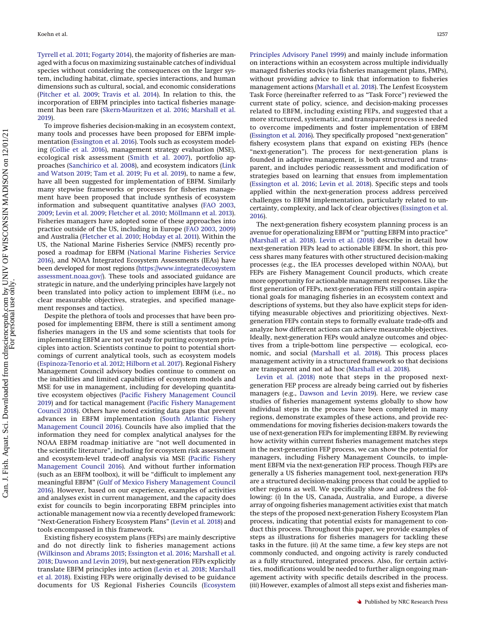[Tyrrell et al. 2011;](#page-11-1) [Fogarty 2014\)](#page-10-0), the majority of fisheries are managed with a focus on maximizing sustainable catches of individual species without considering the consequences on the larger system, including habitat, climate, species interactions, and human dimensions such as cultural, social, and economic considerations [\(Pitcher et al. 2009;](#page-11-2) [Travis et al. 2014\)](#page-11-3). In relation to this, the incorporation of EBFM principles into tactical fisheries management has been rare [\(Skern-Mauritzen et al. 2016;](#page-11-4) [Marshall et al.](#page-10-1) [2019\)](#page-10-1).

To improve fisheries decision-making in an ecosystem context, many tools and processes have been proposed for EBFM implementation [\(Essington et al. 2016\)](#page-10-2). Tools such as ecosystem modeling [\(Collie et al. 2016\)](#page-10-3), management strategy evaluation (MSE), ecological risk assessment [\(Smith et al. 2007\)](#page-11-5), portfolio approaches [\(Sanchirico et al. 2008\)](#page-11-6), and ecosystem indicators [\(Link](#page-10-4) [and Watson 2019;](#page-10-4) [Tam et al. 2019;](#page-11-7) [Fu et al. 2019\)](#page-10-5), to name a few, have all been suggested for implementation of EBFM. Similarly many stepwise frameworks or processes for fisheries management have been proposed that include synthesis of ecosystem information and subsequent quantitative analyses [\(FAO 2003,](#page-10-6) [2009;](#page-10-7) [Levin et al. 2009;](#page-10-8) [Fletcher et al. 2010;](#page-10-9) [Möllmann et al. 2013\)](#page-10-10). Fisheries managers have adopted some of these approaches into practice outside of the US, including in Europe [\(FAO 2003,](#page-10-6) [2009\)](#page-10-7) and Australia [\(Fletcher et al. 2010;](#page-10-9) [Hobday et al. 2011\)](#page-10-11). Within the US, the National Marine Fisheries Service (NMFS) recently proposed a roadmap for EBFM [\(National Marine Fisheries Service](#page-10-12) [2016\)](#page-10-12), and NOAA Integrated Ecosystem Assessments (IEAs) have been developed for most regions [\(https://www.integratedecosystem](https://www.integratedecosystemassessment.noaa.gov/) [assessment.noaa.gov/\)](https://www.integratedecosystemassessment.noaa.gov/). These tools and associated guidance are strategic in nature, and the underlying principles have largely not been translated into policy action to implement EBFM (i.e., no clear measurable objectives, strategies, and specified management responses and tactics).

Despite the plethora of tools and processes that have been proposed for implementing EBFM, there is still a sentiment among fisheries managers in the US and some scientists that tools for implementing EBFM are not yet ready for putting ecosystem principles into action. Scientists continue to point to potential shortcomings of current analytical tools, such as ecosystem models [\(Espinoza-Tenorio et al. 2012;](#page-10-13) [Hilborn et al. 2017\)](#page-10-14). Regional Fishery Management Council advisory bodies continue to comment on the inabilities and limited capabilities of ecosystem models and MSE for use in management, including for developing quantitative ecosystem objectives [\(Pacific Fishery Management Council](#page-11-8) [2019\)](#page-11-8) and for tactical management [\(Pacific Fishery Management](#page-11-9) [Council 2018\)](#page-11-9). Others have noted existing data gaps that prevent advances in EBFM implementation [\(South Atlantic Fishery](#page-11-10) [Management Council 2016\)](#page-11-10). Councils have also implied that the information they need for complex analytical analyses for the NOAA EBFM roadmap initiative are "not well documented in the scientific literature", including for ecosystem risk assessment and ecosystem-level trade-off analysis via MSE [\(Pacific Fishery](#page-11-11) [Management Council 2016\)](#page-11-11). And without further information (such as an EBFM toolbox), it will be "difficult to implement any meaningful EBFM" [\(Gulf of Mexico Fishery Management Council](#page-10-15) [2016\)](#page-10-15). However, based on our experience, examples of activities and analyses exist in current management, and the capacity does exist for councils to begin incorporating EBFM principles into actionable management now via a recently developed framework: "Next-Generation Fishery Ecosystem Plans" [\(Levin et al. 2018\)](#page-10-16) and tools encompassed in this framework.

Existing fishery ecosystem plans (FEPs) are mainly descriptive and do not directly link to fisheries management actions [\(Wilkinson and Abrams 2015;](#page-11-12) [Essington et al. 2016;](#page-10-2) [Marshall et al.](#page-10-17) [2018;](#page-10-17) [Dawson and Levin 2019\)](#page-10-18), but next-generation FEPs explicitly translate EBFM principles into action [\(Levin et al. 2018;](#page-10-16) [Marshall](#page-10-17) [et al. 2018\)](#page-10-17). Existing FEPs were originally devised to be guidance documents for US Regional Fisheries Councils [\(Ecosystem](#page-10-19) [Principles Advisory Panel 1999\)](#page-10-19) and mainly include information on interactions within an ecosystem across multiple individually managed fisheries stocks (via fisheries management plans, FMPs), without providing advice to link that information to fisheries management actions [\(Marshall et al. 2018\)](#page-10-17). The Lenfest Ecosystem Task Force (hereinafter referred to as "Task Force") reviewed the current state of policy, science, and decision-making processes related to EBFM, including existing FEPs, and suggested that a more structured, systematic, and transparent process is needed to overcome impediments and foster implementation of EBFM [\(Essington et al. 2016\)](#page-10-2). They specifically proposed "next-generation" fishery ecosystem plans that expand on existing FEPs (hence "next-generation"). The process for next-generation plans is founded in adaptive management, is both structured and transparent, and includes periodic reassessment and modification of strategies based on learning that ensues from implementation [\(Essington et al. 2016;](#page-10-2) [Levin et al. 2018\)](#page-10-16). Specific steps and tools applied within the next-generation process address perceived challenges to EBFM implementation, particularly related to uncertainty, complexity, and lack of clear objectives [\(Essington et al.](#page-10-2) [2016\)](#page-10-2)

The next-generation fishery ecosystem planning process is an avenue for operationalizing EBFM or "putting EBFM into practice" [\(Marshall et al. 2018\)](#page-10-17). [Levin et al. \(2018\)](#page-10-16) describe in detail how next-generation FEPs lead to actionable EBFM. In short, this process shares many features with other structured decision-making processes (e.g., the IEA processes developed within NOAA), but FEPs are Fishery Management Council products, which create more opportunity for actionable management responses. Like the first generation of FEPs, next-generation FEPs still contain aspirational goals for managing fisheries in an ecosystem context and descriptions of systems, but they also have explicit steps for identifying measurable objectives and prioritizing objectives. Nextgeneration FEPs contain steps to formally evaluate trade-offs and analyze how different actions can achieve measurable objectives. Ideally, next-generation FEPs would analyze outcomes and objectives from a triple-bottom line perspective — ecological, economic, and social [\(Marshall et al. 2018\)](#page-10-17). This process places management activity in a structured framework so that decisions are transparent and not ad hoc [\(Marshall et al. 2018\)](#page-10-17).

[Levin et al. \(2018\)](#page-10-16) note that steps in the proposed nextgeneration FEP process are already being carried out by fisheries managers (e.g., [Dawson and Levin 2019\)](#page-10-18). Here, we review case studies of fisheries management systems globally to show how individual steps in the process have been completed in many regions, demonstrate examples of these actions, and provide recommendations for moving fisheries decision-makers towards the use of next-generation FEPs for implementing EBFM. By reviewing how activity within current fisheries management matches steps in the next-generation FEP process, we can show the potential for managers, including Fishery Management Councils, to implement EBFM via the next-generation FEP process. Though FEPs are generally a US fisheries management tool, next-generation FEPs are a structured decision-making process that could be applied to other regions as well. We specifically show and address the following: (*i*) In the US, Canada, Australia, and Europe, a diverse array of ongoing fisheries management activities exist that match the steps of the proposed next-generation Fishery Ecosystem Plan process, indicating that potential exists for management to conduct this process. Throughout this paper, we provide examples of steps as illustrations for fisheries managers for tackling these tasks in the future. (*ii*) At the same time, a few key steps are not commonly conducted, and ongoing activity is rarely conducted as a fully structured, integrated process. Also, for certain activities, modifications would be needed to further align ongoing management activity with specific details described in the process. (*iii*) However, examples of almost all steps exist and fisheries man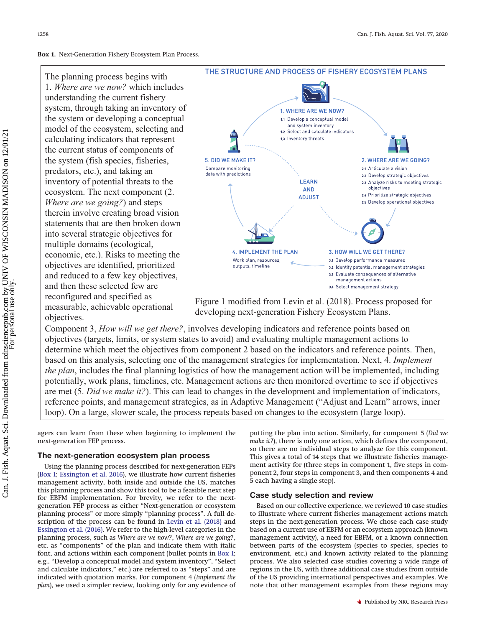<span id="page-2-0"></span>**Box 1.** Next-Generation Fishery Ecosystem Plan Process.

The planning process begins with 1. *Where are we now?* which includes understanding the current fishery system, through taking an inventory of the system or developing a conceptual model of the ecosystem, selecting and calculating indicators that represent the current status of components of the system (fish species, fisheries, predators, etc.), and taking an inventory of potential threats to the ecosystem. The next component (2. *Where are we going?*) and steps therein involve creating broad vision statements that are then broken down into several strategic objectives for multiple domains (ecological, economic, etc.). Risks to meeting the objectives are identified, prioritized and reduced to a few key objectives, and then these selected few are reconfigured and specified as measurable, achievable operational objectives.



Figure 1 modified from Levin et al. (2018). Process proposed for developing next-generation Fishery Ecosystem Plans.

Component 3, *How will we get there?*, involves developing indicators and reference points based on objectives (targets, limits, or system states to avoid) and evaluating multiple management actions to determine which meet the objectives from component 2 based on the indicators and reference points. Then, based on this analysis, selecting one of the management strategies for implementation. Next, 4. *Implement the plan*, includes the final planning logistics of how the management action will be implemented, including potentially, work plans, timelines, etc. Management actions are then monitored overtime to see if objectives are met (5. *Did we make it?*). This can lead to changes in the development and implementation of indicators, reference points, and management strategies, as in Adaptive Management ("Adjust and Learn" arrows, inner loop). On a large, slower scale, the process repeats based on changes to the ecosystem (large loop).

agers can learn from these when beginning to implement the next-generation FEP process.

# **The next-generation ecosystem plan process**

Using the planning process described for next-generation FEPs [\(Box 1;](#page-2-0) [Essington et al. 2016\)](#page-10-2), we illustrate how current fisheries management activity, both inside and outside the US, matches this planning process and show this tool to be a feasible next step for EBFM implementation. For brevity, we refer to the nextgeneration FEP process as either "Next-generation or ecosystem planning process" or more simply "planning process". A full description of the process can be found in [Levin et al. \(2018\)](#page-10-16) and [Essington et al. \(2016\).](#page-10-2) We refer to the high-level categories in the planning process, such as *Where are we now?*, *Where are we going?*, etc. as "components" of the plan and indicate them with italic font, and actions within each component (bullet points in [Box 1;](#page-2-0) e.g., "Develop a conceptual model and system inventory", "Select and calculate indicators," etc.) are referred to as "steps" and are indicated with quotation marks. For component 4 (*Implement the plan*), we used a simpler review, looking only for any evidence of putting the plan into action. Similarly, for component 5 (*Did we make it?*), there is only one action, which defines the component, so there are no individual steps to analyze for this component. This gives a total of 14 steps that we illustrate fisheries management activity for (three steps in component 1, five steps in component 2, four steps in component 3, and then components 4 and 5 each having a single step).

# **Case study selection and review**

Based on our collective experience, we reviewed 10 case studies to illustrate where current fisheries management actions match steps in the next-generation process. We chose each case study based on a current use of EBFM or an ecosystem approach (known management activity), a need for EBFM, or a known connection between parts of the ecosystem (species to species, species to environment, etc.) and known activity related to the planning process. We also selected case studies covering a wide range of regions in the US, with three additional case studies from outside of the US providing international perspectives and examples. We note that other management examples from these regions may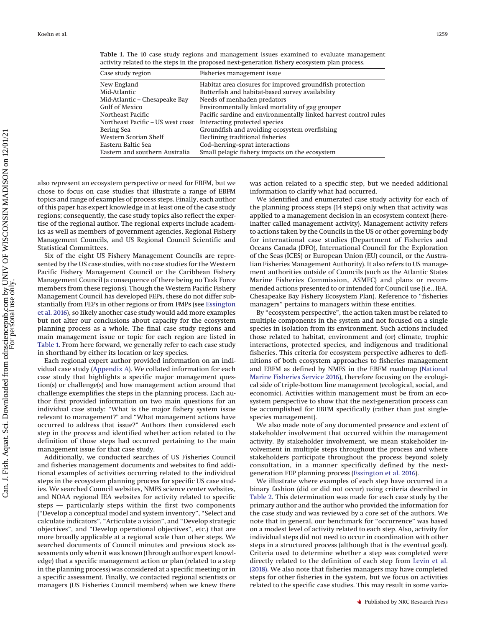| Case study region                                               | Fisheries management issue                                       |
|-----------------------------------------------------------------|------------------------------------------------------------------|
| New England                                                     | Habitat area closures for improved groundfish protection         |
| Mid-Atlantic                                                    | Butterfish and habitat-based survey availability                 |
| Mid-Atlantic – Chesapeake Bay                                   | Needs of menhaden predators                                      |
| <b>Gulf of Mexico</b>                                           | Environmentally linked mortality of gag grouper                  |
| Northeast Pacific                                               | Pacific sardine and environmentally linked harvest control rules |
| Northeast Pacific – US west coast Interacting protected species |                                                                  |
| Bering Sea                                                      | Groundfish and avoiding ecosystem overfishing                    |
| Western Scotian Shelf                                           | Declining traditional fisheries                                  |
| Eastern Baltic Sea                                              | Cod-herring-sprat interactions                                   |
| Eastern and southern Australia                                  | Small pelagic fishery impacts on the ecosystem                   |

<span id="page-3-0"></span>**Table 1.** The 10 case study regions and management issues examined to evaluate management activity related to the steps in the proposed next-generation fishery ecosystem plan process.

also represent an ecosystem perspective or need for EBFM, but we chose to focus on case studies that illustrate a range of EBFM topics and range of examples of process steps. Finally, each author of this paper has expert knowledge in at least one of the case study regions; consequently, the case study topics also reflect the expertise of the regional author. The regional experts include academics as well as members of government agencies, Regional Fishery Management Councils, and US Regional Council Scientific and Statistical Committees.

Six of the eight US Fishery Management Councils are represented by the US case studies, with no case studies for the Western Pacific Fishery Management Council or the Caribbean Fishery Management Council (a consequence of there being no Task Force members from these regions). Though the Western Pacific Fishery Management Council has developed FEPs, these do not differ substantially from FEPs in other regions or from FMPs (see [Essington](#page-10-2) [et al. 2016\)](#page-10-2), so likely another case study would add more examples but not alter our conclusions about capacity for the ecosystem planning process as a whole. The final case study regions and main management issue or topic for each region are listed in [Table 1.](#page-3-0) From here forward, we generally refer to each case study in shorthand by either its location or key species.

Each regional expert author provided information on an individual case study [\(Appendix A\)](#page-11-13). We collated information for each case study that highlights a specific major management question(s) or challenge(s) and how management action around that challenge exemplifies the steps in the planning process. Each author first provided information on two main questions for an individual case study: "What is the major fishery system issue relevant to management?" and "What management actions have occurred to address that issue?" Authors then considered each step in the process and identified whether action related to the definition of those steps had occurred pertaining to the main management issue for that case study.

Additionally, we conducted searches of US Fisheries Council and fisheries management documents and websites to find additional examples of activities occurring related to the individual steps in the ecosystem planning process for specific US case studies. We searched Council websites, NMFS science center websites, and NOAA regional IEA websites for activity related to specific steps — particularly steps within the first two components ("Develop a conceptual model and system inventory", "Select and calculate indicators", "Articulate a vision", and "Develop strategic objectives", and "Develop operational objectives", etc.) that are more broadly applicable at a regional scale than other steps. We searched documents of Council minutes and previous stock assessments only when it was known (through author expert knowledge) that a specific management action or plan (related to a step in the planning process) was considered at a specific meeting or in a specific assessment. Finally, we contacted regional scientists or managers (US Fisheries Council members) when we knew there

was action related to a specific step, but we needed additional information to clarify what had occurred.

We identified and enumerated case study activity for each of the planning process steps (14 steps) only when that activity was applied to a management decision in an ecosystem context (hereinafter called management activity). Management activity refers to actions taken by the Councils in the US or other governing body for international case studies (Department of Fisheries and Oceans Canada (DFO), International Council for the Exploration of the Seas (ICES) or European Union (EU) council, or the Australian Fisheries Management Authority). It also refers to US management authorities outside of Councils (such as the Atlantic States Marine Fisheries Commission, ASMFC) and plans or recommended actions presented to or intended for Council use (i.e., IEA, Chesapeake Bay Fishery Ecosystem Plan). Reference to "fisheries managers" pertains to managers within these entities.

By "ecosystem perspective", the action taken must be related to multiple components in the system and not focused on a single species in isolation from its environment. Such actions included those related to habitat, environment and (or) climate, trophic interactions, protected species, and indigenous and traditional fisheries. This criteria for ecosystem perspective adheres to definitions of both ecosystem approaches to fisheries management and EBFM as defined by NMFS in the EBFM roadmap [\(National](#page-10-12) [Marine Fisheries Service 2016\)](#page-10-12), therefore focusing on the ecological side of triple-bottom line management (ecological, social, and economic). Activities within management must be from an ecosystem perspective to show that the next-generation process can be accomplished for EBFM specifically (rather than just singlespecies management).

We also made note of any documented presence and extent of stakeholder involvement that occurred within the management activity. By stakeholder involvement, we mean stakeholder involvement in multiple steps throughout the process and where stakeholders participate throughout the process beyond solely consultation, in a manner specifically defined by the nextgeneration FEP planning process [\(Essington et al. 2016\)](#page-10-2).

We illustrate where examples of each step have occurred in a binary fashion (did or did not occur) using criteria described in [Table 2.](#page-4-0) This determination was made for each case study by the primary author and the author who provided the information for the case study and was reviewed by a core set of the authors. We note that in general, our benchmark for "occurrence" was based on a modest level of activity related to each step. Also, activity for individual steps did not need to occur in coordination with other steps in a structured process (although that is the eventual goal). Criteria used to determine whether a step was completed were directly related to the definition of each step from [Levin et al.](#page-10-16) [\(2018\).](#page-10-16) We also note that fisheries managers may have completed steps for other fisheries in the system, but we focus on activities related to the specific case studies. This may result in some varia-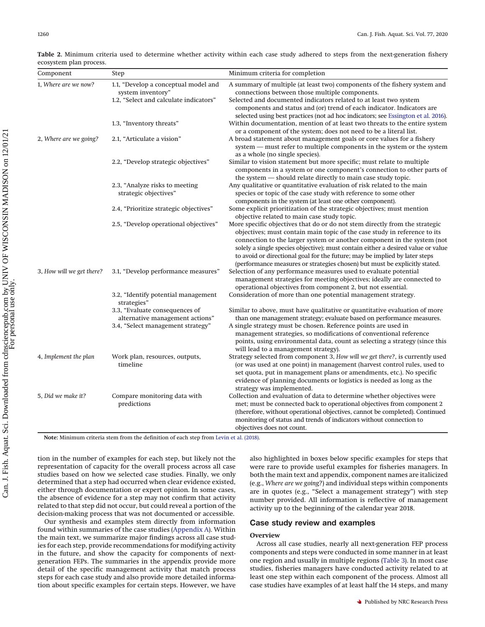| Component                 | Step                                                                                                   | Minimum criteria for completion                                                                                                                                                                                                                                                                                                                                                                                                                                                     |
|---------------------------|--------------------------------------------------------------------------------------------------------|-------------------------------------------------------------------------------------------------------------------------------------------------------------------------------------------------------------------------------------------------------------------------------------------------------------------------------------------------------------------------------------------------------------------------------------------------------------------------------------|
| 1, Where are we now?      | 1.1, "Develop a conceptual model and<br>system inventory"<br>1.2, "Select and calculate indicators"    | A summary of multiple (at least two) components of the fishery system and<br>connections between those multiple components.<br>Selected and documented indicators related to at least two system<br>components and status and (or) trend of each indicator. Indicators are                                                                                                                                                                                                          |
|                           | 1.3, "Inventory threats"                                                                               | selected using best practices (not ad hoc indicators; see Essington et al. 2016).<br>Within documentation, mention of at least two threats to the entire system<br>or a component of the system; does not need to be a literal list.                                                                                                                                                                                                                                                |
| 2, Where are we going?    | 2.1, "Articulate a vision"                                                                             | A broad statement about management goals or core values for a fishery<br>system — must refer to multiple components in the system or the system                                                                                                                                                                                                                                                                                                                                     |
|                           | 2.2, "Develop strategic objectives"                                                                    | as a whole (no single species).<br>Similar to vision statement but more specific; must relate to multiple<br>components in a system or one component's connection to other parts of<br>the system - should relate directly to main case study topic.                                                                                                                                                                                                                                |
|                           | 2.3, "Analyze risks to meeting<br>strategic objectives"                                                | Any qualitative or quantitative evaluation of risk related to the main<br>species or topic of the case study with reference to some other<br>components in the system (at least one other component).                                                                                                                                                                                                                                                                               |
|                           | 2.4, "Prioritize strategic objectives"                                                                 | Some explicit prioritization of the strategic objectives; must mention<br>objective related to main case study topic.                                                                                                                                                                                                                                                                                                                                                               |
|                           | 2.5, "Develop operational objectives"                                                                  | More specific objectives that do or do not stem directly from the strategic<br>objectives; must contain main topic of the case study in reference to its<br>connection to the larger system or another component in the system (not<br>solely a single species objective); must contain either a desired value or value<br>to avoid or directional goal for the future; may be implied by later steps<br>(performance measures or strategies chosen) but must be explicitly stated. |
| 3, How will we get there? | 3.1, "Develop performance measures"                                                                    | Selection of any performance measures used to evaluate potential<br>management strategies for meeting objectives; ideally are connected to<br>operational objectives from component 2, but not essential.                                                                                                                                                                                                                                                                           |
|                           | 3.2, "Identify potential management<br>strategies"                                                     | Consideration of more than one potential management strategy.                                                                                                                                                                                                                                                                                                                                                                                                                       |
|                           | 3.3, "Evaluate consequences of<br>alternative management actions"<br>3.4, "Select management strategy" | Similar to above, must have qualitative or quantitative evaluation of more<br>than one management strategy; evaluate based on performance measures.<br>A single strategy must be chosen. Reference points are used in<br>management strategies, so modifications of conventional reference<br>points, using environmental data, count as selecting a strategy (since this<br>will lead to a management strategy).                                                                   |
| 4, Implement the plan     | Work plan, resources, outputs,<br>timeline                                                             | Strategy selected from component 3, How will we get there?, is currently used<br>(or was used at one point) in management (harvest control rules, used to<br>set quota, put in management plans or amendments, etc.). No specific<br>evidence of planning documents or logistics is needed as long as the<br>strategy was implemented.                                                                                                                                              |
| 5, Did we make it?        | Compare monitoring data with<br>predictions                                                            | Collection and evaluation of data to determine whether objectives were<br>met; must be connected back to operational objectives from component 2<br>(therefore, without operational objectives, cannot be completed). Continued<br>monitoring of status and trends of indicators without connection to<br>objectives does not count.                                                                                                                                                |

<span id="page-4-0"></span>**Table 2.** Minimum criteria used to determine whether activity within each case study adhered to steps from the next-generation fishery ecosystem plan process.

**Note:** Minimum criteria stem from the definition of each step from [Levin et al. \(2018\).](#page-10-16)

tion in the number of examples for each step, but likely not the representation of capacity for the overall process across all case studies based on how we selected case studies. Finally, we only determined that a step had occurred when clear evidence existed, either through documentation or expert opinion. In some cases, the absence of evidence for a step may not confirm that activity related to that step did not occur, but could reveal a portion of the decision-making process that was not documented or accessible.

Our synthesis and examples stem directly from information found within summaries of the case studies [\(Appendix A\)](#page-11-13). Within the main text, we summarize major findings across all case studies for each step, provide recommendations for modifying activity in the future, and show the capacity for components of nextgeneration FEPs. The summaries in the appendix provide more detail of the specific management activity that match process steps for each case study and also provide more detailed information about specific examples for certain steps. However, we have also highlighted in boxes below specific examples for steps that were rare to provide useful examples for fisheries managers. In both the main text and appendix, component names are italicized (e.g., *Where are we going?*) and individual steps within components are in quotes (e.g., "Select a management strategy") with step number provided. All information is reflective of management activity up to the beginning of the calendar year 2018.

# **Case study review and examples**

# **Overview**

Across all case studies, nearly all next-generation FEP process components and steps were conducted in some manner in at least one region and usually in multiple regions [\(Table 3\)](#page-5-0). In most case studies, fisheries managers have conducted activity related to at least one step within each component of the process. Almost all case studies have examples of at least half the 14 steps, and many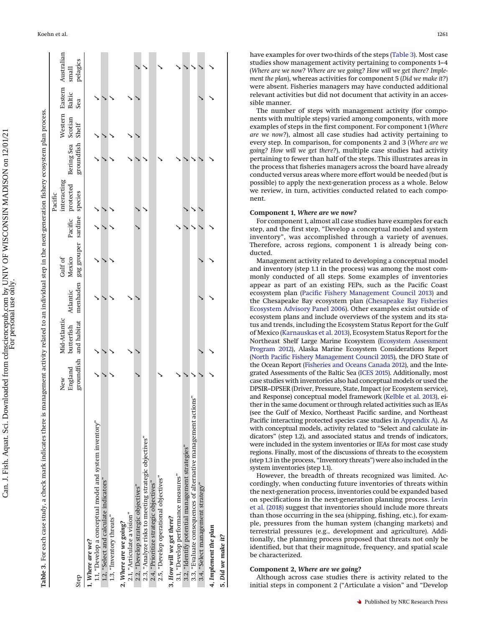|                                                                | New     | Mid-Atlantic           |          | Gulf of                              | interacting<br>Pacific       |                  |         |               | Western Eastern Australian |
|----------------------------------------------------------------|---------|------------------------|----------|--------------------------------------|------------------------------|------------------|---------|---------------|----------------------------|
|                                                                | England | butterfish             | Atlantic | Mexico                               | Pacific protected Bering Sea |                  | Scotian | <b>Baltic</b> | small                      |
| Step                                                           |         | groundfish and habitat |          | menhaden gag grouper sardine species |                              | groundfish Shelf |         | Sea           | pelagics                   |
| 1, Where are we?                                               |         |                        |          |                                      |                              |                  |         |               |                            |
| 1.1, "Develop a conceptual model and system inventory"         |         |                        |          |                                      |                              |                  |         |               |                            |
| 1.2, "Select and calculate indicators"                         |         |                        |          |                                      |                              |                  |         |               |                            |
| 1.3, "Inventory threats"                                       |         |                        |          |                                      |                              |                  |         |               |                            |
| 2, Where are we going?                                         |         |                        |          |                                      |                              |                  |         |               |                            |
| 2.1, "Articulate a vision"                                     |         |                        |          |                                      |                              |                  |         |               |                            |
| 2.2, "Develop strategic objectives"                            |         |                        |          |                                      |                              |                  |         |               |                            |
| 2.3, "Analyze risks to meeting strategic objectives"           |         |                        |          |                                      |                              |                  |         |               |                            |
| 2.4, "Prioritize strategic objectives"                         |         |                        |          |                                      |                              |                  |         |               |                            |
| 2.5, "Develop operational objectives"                          |         |                        |          |                                      |                              |                  |         |               |                            |
| 3, How will we get there?                                      |         |                        |          |                                      |                              |                  |         |               |                            |
| 3.1, "Develop performance measures"                            |         |                        |          |                                      |                              |                  |         |               |                            |
| 3.2, "Identify potential management strategies"                |         |                        |          |                                      |                              |                  |         |               |                            |
| 3.3, "Evaluate consequences of alternative management actions" |         |                        |          |                                      |                              |                  |         |               |                            |
| 3.4, "Select management strategy"                              |         |                        |          |                                      |                              |                  |         |               |                            |
| 4, Implement the plan                                          |         |                        |          |                                      |                              |                  |         |               |                            |
| 5, Did we make it?                                             |         |                        |          |                                      |                              |                  |         |               |                            |

Table 3. For each case study, a check mark indicates there is management activity related to an individual step in the next-generation fishery ecosystem plan process. For each case study, a check mark indicates there is management activity related to an individual step in the next-generation fishery ecosystem plan process.

have examples for over two-thirds of the steps [\(Table 3\)](#page-5-0). Most case studies show management activity pertaining to components 1–4 (*Where are we now? Where are we going? How will we get there? Implement the plan*), whereas activities for component 5 (*Did we make it?*) were absent. Fisheries managers may have conducted additional relevant activities but did not document that activity in an accessible manner.

The number of steps with management activity (for components with multiple steps) varied among components, with more examples of steps in the first component. For component 1 (*Where are we now?*), almost all case studies had activity pertaining to every step. In comparison, for components 2 and 3 (*Where are we going? How will we get there?*), multiple case studies had activity pertaining to fewer than half of the steps. This illustrates areas in the process that fisheries managers across the board have already conducted versus areas where more effort would be needed (but is possible) to apply the next-generation process as a whole. Below we review, in turn, activities conducted related to each component.

# **Component 1,** *Where are we now?*

Koehn et al. 1261

For component 1, almost all case studies have examples for each step, and the first step, "Develop a conceptual model and system inventory", was accomplished through a variety of avenues. Therefore, across regions, component 1 is already being conducted.

Management activity related to developing a conceptual model and inventory (step 1.1 in the process) was among the most commonly conducted of all steps. Some examples of inventories appear as part of an existing FEPs, such as the Pacific Coast ecosystem plan [\(Pacific Fishery Management Council 2013\)](#page-11-14) and the Chesapeake Bay ecosystem plan [\(Chesapeake Bay Fisheries](#page-10-20) [Ecosystem Advisory Panel 2006\)](#page-10-20). Other examples exist outside of ecosystem plans and include overviews of the system and its status and trends, including the Ecosystem Status Report for the Gulf of Mexico [\(Karnauskas et al. 2013\)](#page-10-21), Ecosystem Status Report for the Northeast Shelf Large Marine Ecosystem [\(Ecosystem Assessment](#page-10-22) [Program 2012\)](#page-10-22), Alaska Marine Ecosystem Considerations Report [\(North Pacific Fishery Management Council 2015\)](#page-10-23), the DFO State of the Ocean Report [\(Fisheries and Oceans Canada 2012\)](#page-10-24), and the Integrated Assessments of the Baltic Sea [\(ICES 2015\)](#page-10-25). Additionally, most case studies with inventories also had conceptual models or used the DPSIR–DPSER (Driver, Pressure, State, Impact (or Ecosystem service), and Response) conceptual model framework [\(Kelble et al. 2013\)](#page-10-26), either in the same document or through related activities such as IEAs (see the Gulf of Mexico, Northeast Pacific sardine, and Northeast Pacific interacting protected species case studies in [Appendix A\)](#page-11-13). As with conceptual models, activity related to "Select and calculate indicators" (step 1.2), and associated status and trends of indicators, were included in the system inventories or IEAs for most case study regions. Finally, most of the discussions of threats to the ecosystem (step 1.3 in the process, "Inventory threats") were also included in the system inventories (step 1.1).

However, the breadth of threats recognized was limited. Accordingly, when conducting future inventories of threats within the next-generation process, inventories could be expanded based on specifications in the next-generation planning process. [Levin](#page-10-16) [et al. \(2018\)](#page-10-16) suggest that inventories should include more threats than those occurring in the sea (shipping, fishing, etc.), for example, pressures from the human system (changing markets) and terrestrial pressures (e.g., development and agriculture). Additionally, the planning process proposed that threats not only be identified, but that their magnitude, frequency, and spatial scale be characterized.

## **Component 2,** *Where are we going?*

<span id="page-5-0"></span>Although across case studies there is activity related to the initial steps in component 2 ("Articulate a vision" and "Develop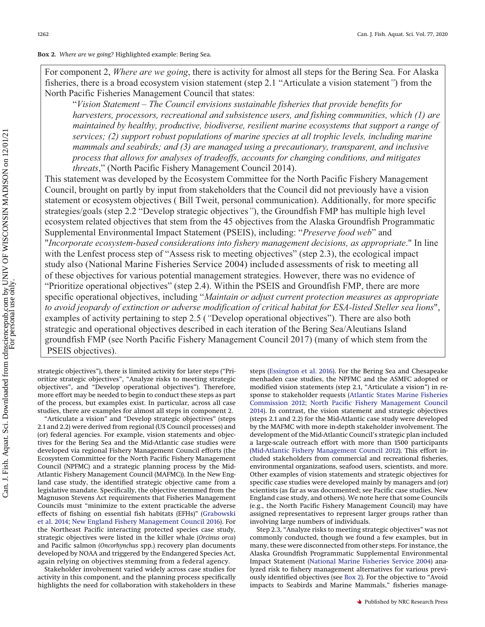<span id="page-6-0"></span>**Box 2.** *Where are we going?* Highlighted example: Bering Sea.

For component 2, *Where are we going*, there is activity for almost all steps for the Bering Sea. For Alaska fisheries, there is a broad ecosystem vision statement (step 2.1 "Articulate a vision statement*"*) from the North Pacific Fisheries Management Council that states:

"*Vision Statement – The Council envisions sustainable fisheries that provide benefits for harvesters, processors, recreational and subsistence users, and fishing communities, which (1) are maintained by healthy, productive, biodiverse, resilient marine ecosystems that support a range of services; (2) support robust populations of marine species at all trophic levels, including marine mammals and seabirds; and (3) are managed using a precautionary, transparent, and inclusive process that allows for analyses of tradeoffs, accounts for changing conditions, and mitigates threats*," (North Pacific Fishery Management Council 2014).

This statement was developed by the Ecosystem Committee for the North Pacific Fishery Management Council, brought on partly by input from stakeholders that the Council did not previously have a vision statement or ecosystem objectives ( Bill Tweit, personal communication). Additionally, for more specific strategies/goals (step 2.2 "Develop strategic objectives*"*), the Groundfish FMP has multiple high level ecosystem related objectives that stem from the 45 objectives from the Alaska Groundfish Programmatic Supplemental Environmental Impact Statement (PSEIS), including: "*Preserve food web*" and "*Incorporate ecosystem-based considerations into fishery management decisions, as appropriate*." In line with the Lenfest process step of "Assess risk to meeting objectives" (step 2.3), the ecological impact study also (National Marine Fisheries Service 2004) included assessments of risk to meeting all of these objectives for various potential management strategies. However, there was no evidence of "Prioritize operational objectives" (step 2.4). Within the PSEIS and Groundfish FMP, there are more specific operational objectives, including "*Maintain or adjust current protection measures as appropriate to avoid jeopardy of extinction or adverse modification of critical habitat for ESA-listed Steller sea lions*", examples of activity pertaining to step 2.5 (*"*Develop operational objectives"). There are also both strategic and operational objectives described in each iteration of the Bering Sea/Aleutians Island groundfish FMP (see North Pacific Fishery Management Council 2017) (many of which stem from the PSEIS objectives).

strategic objectives"), there is limited activity for later steps ("Prioritize strategic objectives", "Analyze risks to meeting strategic objectives", and "Develop operational objectives"). Therefore, more effort may be needed to begin to conduct these steps as part of the process, but examples exist. In particular, across all case studies, there are examples for almost all steps in component 2.

"Articulate a vision" and "Develop strategic objectives" (steps 2.1 and 2.2) were derived from regional (US Council processes) and (or) federal agencies. For example, vision statements and objectives for the Bering Sea and the Mid-Atlantic case studies were developed via regional Fishery Management Council efforts (the Ecosystem Committee for the North Pacific Fishery Management Council (NPFMC) and a strategic planning process by the Mid-Atlantic Fishery Management Council (MAFMC)). In the New England case study, the identified strategic objective came from a legislative mandate. Specifically, the objective stemmed from the Magnuson Stevens Act requirements that Fisheries Management Councils must "minimize to the extent practicable the adverse effects of fishing on essential fish habitats (EFHs)" [\(Grabowski](#page-10-27) [et al. 2014;](#page-10-27) [New England Fishery Management Council 2016\)](#page-10-28). For the Northeast Pacific interacting protected species case study, strategic objectives were listed in the killer whale (*Orcinus orca*) and Pacific salmon (*Oncorhynchus* spp.) recovery plan documents developed by NOAA and triggered by the Endangered Species Act, again relying on objectives stemming from a federal agency.

Stakeholder involvement varied widely across case studies for activity in this component, and the planning process specifically highlights the need for collaboration with stakeholders in these

steps [\(Essington et al. 2016\)](#page-10-2). For the Bering Sea and Chesapeake menhaden case studies, the NPFMC and the ASMFC adopted or modified vision statements (step 2.1, "Articulate a vision") in response to stakeholder requests [\(Atlantic States Marine Fisheries](#page-10-29) [Commission 2012;](#page-10-29) [North Pacific Fishery Management Council](#page-10-30) [2014\)](#page-10-30). In contrast, the vision statement and strategic objectives (steps 2.1 and 2.2) for the Mid-Atlantic case study were developed by the MAFMC with more in-depth stakeholder involvement. The development of the Mid-Atlantic Council's strategic plan included a large-scale outreach effort with more than 1500 participants [\(Mid-Atlantic Fishery Management Council 2012\)](#page-10-31). This effort included stakeholders from commercial and recreational fisheries, environmental organizations, seafood users, scientists, and more. Other examples of vision statements and strategic objectives for specific case studies were developed mainly by managers and (or) scientists (as far as was documented; see Pacific case studies, New England case study, and others). We note here that some Councils (e.g., the North Pacific Fishery Management Council) may have assigned representatives to represent larger groups rather than involving large numbers of individuals.

Step 2.3, "Analyze risks to meeting strategic objectives" was not commonly conducted, though we found a few examples, but in many, these were disconnected from other steps. For instance, the Alaska Groundfish Programmatic Supplemental Environmental Impact Statement [\(National Marine Fisheries Service 2004\)](#page-10-32) analyzed risk to fishery management alternatives for various previously identified objectives (see [Box 2\)](#page-6-0). For the objective to "Avoid impacts to Seabirds and Marine Mammals," fisheries manage-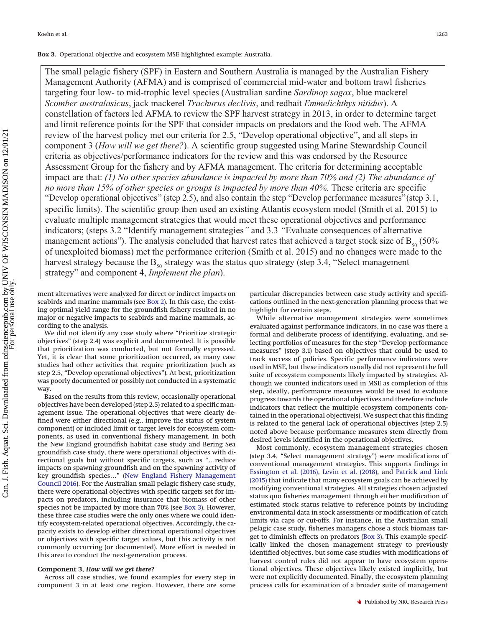#### <span id="page-7-0"></span>**Box 3.** Operational objective and ecosystem MSE highlighted example: Australia.

The small pelagic fishery (SPF) in Eastern and Southern Australia is managed by the Australian Fishery Management Authority (AFMA) and is comprised of commercial mid-water and bottom trawl fisheries targeting four low- to mid-trophic level species (Australian sardine *Sardinop sagax*, blue mackerel *Scomber australasicus*, jack mackerel *Trachurus declivis*, and redbait *Emmelichthys nitidus*). A constellation of factors led AFMA to review the SPF harvest strategy in 2013, in order to determine target and limit reference points for the SPF that consider impacts on predators and the food web. The AFMA review of the harvest policy met our criteria for 2.5, "Develop operational objective", and all steps in component 3 (*How will we get there?*). A scientific group suggested using Marine Stewardship Council criteria as objectives/performance indicators for the review and this was endorsed by the Resource Assessment Group for the fishery and by AFMA management. The criteria for determining acceptable impact are that: *(1) No other species abundance is impacted by more than 70% and (2) The abundance of no more than 15% of other species or groups is impacted by more than 40%.* These criteria are specific "Develop operational objectives" (step 2.5), and also contain the step "Develop performance measures"(step 3.1, specific limits). The scientific group then used an existing Atlantis ecosystem model (Smith et al. 2015) to evaluate multiple management strategies that would meet these operational objectives and performance indicators; (steps 3.2 "Identify management strategies*"* and 3.3 *"*Evaluate consequences of alternative management actions"). The analysis concluded that harvest rates that achieved a target stock size of  $B_{50}$  (50% of unexploited biomass) met the performance criterion (Smith et al. 2015) and no changes were made to the harvest strategy because the  $B_{50}$  strategy was the status quo strategy (step 3.4, "Select management strategy" and component 4, *Implement the plan*).

ment alternatives were analyzed for direct or indirect impacts on seabirds and marine mammals (see [Box 2\)](#page-6-0). In this case, the existing optimal yield range for the groundfish fishery resulted in no major or negative impacts to seabirds and marine mammals, according to the analysis.

We did not identify any case study where "Prioritize strategic objectives" (step 2.4) was explicit and documented. It is possible that prioritization was conducted, but not formally expressed. Yet, it is clear that some prioritization occurred, as many case studies had other activities that require prioritization (such as step 2.5, "Develop operational objectives"). At best, prioritization was poorly documented or possibly not conducted in a systematic way.

Based on the results from this review, occasionally operational objectives have been developed (step 2.5) related to a specific management issue. The operational objectives that were clearly defined were either directional (e.g., improve the status of system component) or included limit or target levels for ecosystem components, as used in conventional fishery management. In both the New England groundfish habitat case study and Bering Sea groundfish case study, there were operational objectives with directional goals but without specific targets, such as "…reduce impacts on spawning groundfish and on the spawning activity of key groundfish species…" [\(New England Fishery Management](#page-10-28) [Council 2016\)](#page-10-28). For the Australian small pelagic fishery case study, there were operational objectives with specific targets set for impacts on predators, including insurance that biomass of other species not be impacted by more than 70% (see [Box 3\)](#page-7-0). However, these three case studies were the only ones where we could identify ecosystem-related operational objectives. Accordingly, the capacity exists to develop either directional operational objectives or objectives with specific target values, but this activity is not commonly occurring (or documented). More effort is needed in this area to conduct the next-generation process.

#### **Component 3,** *How will we get there?*

Across all case studies, we found examples for every step in component 3 in at least one region. However, there are some particular discrepancies between case study activity and specifications outlined in the next-generation planning process that we highlight for certain steps.

While alternative management strategies were sometimes evaluated against performance indicators, in no case was there a formal and deliberate process of identifying, evaluating, and selecting portfolios of measures for the step "Develop performance measures" (step 3.1) based on objectives that could be used to track success of policies. Specific performance indicators were used in MSE, but these indicators usually did not represent the full suite of ecosystem components likely impacted by strategies. Although we counted indicators used in MSE as completion of this step, ideally, performance measures would be used to evaluate progress towards the operational objectives and therefore include indicators that reflect the multiple ecosystem components contained in the operational objective(s). We suspect that this finding is related to the general lack of operational objectives (step 2.5) noted above because performance measures stem directly from desired levels identified in the operational objectives.

Most commonly, ecosystem management strategies chosen (step 3.4, "Select management strategy") were modifications of conventional management strategies. This supports findings in [Essington et al. \(2016\),](#page-10-2) [Levin et al. \(2018\),](#page-10-16) and [Patrick and Link](#page-11-15) [\(2015\)](#page-11-15) that indicate that many ecosystem goals can be achieved by modifying conventional strategies. All strategies chosen adjusted status quo fisheries management through either modification of estimated stock status relative to reference points by including environmental data in stock assessments or modification of catch limits via caps or cut-offs. For instance, in the Australian small pelagic case study, fisheries managers chose a stock biomass target to diminish effects on predators [\(Box 3\)](#page-7-0). This example specifically linked the chosen management strategy to previously identified objectives, but some case studies with modifications of harvest control rules did not appear to have ecosystem operational objectives. These objectives likely existed implicitly, but were not explicitly documented. Finally, the ecosystem planning process calls for examination of a broader suite of management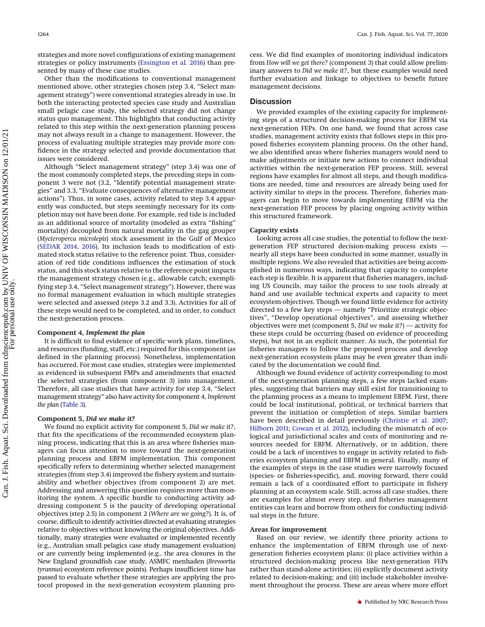strategies and more novel configurations of existing management strategies or policy instruments [\(Essington et al. 2016\)](#page-10-2) than presented by many of these case studies.

Other than the modifications to conventional management mentioned above, other strategies chosen (step 3.4, "Select management strategy") were conventional strategies already in use. In both the interacting protected species case study and Australian small pelagic case study, the selected strategy did not change status quo management. This highlights that conducting activity related to this step within the next-generation planning process may not always result in a change to management. However, the process of evaluating multiple strategies may provide more confidence in the strategy selected and provide documentation that issues were considered.

Although "Select management strategy" (step 3.4) was one of the most commonly completed steps, the preceding steps in component 3 were not (3.2, "Identify potential management strategies" and 3.3, "Evaluate consequences of alternative management actions"). Thus, in some cases, activity related to step 3.4 apparently was conducted, but steps seemingly necessary for its completion may not have been done. For example, red tide is included as an additional source of mortality (modeled as extra "fishing" mortality) decoupled from natural mortality in the gag grouper (*Mycteroperca microlepis*) stock assessment in the Gulf of Mexico [\(SEDAR 2014,](#page-11-16) [2016\)](#page-11-17). Its inclusion leads to modification of estimated stock status relative to the reference point. Thus, consideration of red tide conditions influences the estimation of stock status, and this stock status relative to the reference point impacts the management strategy chosen (e.g., allowable catch; exemplifying step 3.4, "Select management strategy"). However, there was no formal management evaluation in which multiple strategies were selected and assessed (steps 3.2 and 3.3). Activities for all of these steps would need to be completed, and in order, to conduct the next-generation process.

#### **Component 4,** *Implement the plan*

It is difficult to find evidence of specific work plans, timelines, and resources (funding, staff, etc.) required for this component (as defined in the planning process). Nonetheless, implementation has occurred. For most case studies, strategies were implemented as evidenced in subsequent FMPs and amendments that enacted the selected strategies (from component 3) into management. Therefore, all case studies that have activity for step 3.4, "Select management strategy" also have activity for component 4, *Implement the plan* [\(Table 3\)](#page-5-0).

#### **Component 5,** *Did we make it?*

We found no explicit activity for component 5, *Did we make it?*, that fits the specifications of the recommended ecosystem planning process, indicating that this is an area where fisheries managers can focus attention to move toward the next-generation planning process and EBFM implementation. This component specifically refers to determining whether selected management strategies (from step 3.4) improved the fishery system and sustainability and whether objectives (from component 2) are met. Addressing and answering this question requires more than monitoring the system. A specific hurdle to conducting activity addressing component 5 is the paucity of developing operational objectives (step 2.5) in component 2 (*Where are we going?*). It is, of course, difficult to identify activities directed at evaluating strategies relative to objectives without knowing the original objectives. Additionally, many strategies were evaluated or implemented recently (e.g., Australian small pelagics case study management evaluation) or are currently being implemented (e.g., the area closures in the New England groundfish case study, ASMFC menhaden (*Brevoortia tyrannus*) ecosystem reference points). Perhaps insufficient time has passed to evaluate whether these strategies are applying the protocol proposed in the next-generation ecosystem planning process. We did find examples of monitoring individual indicators from *How will we get there?* (component 3) that could allow preliminary answers to *Did we make it?*, but these examples would need further evaluation and linkage to objectives to benefit future management decisions.

#### **Discussion**

We provided examples of the existing capacity for implementing steps of a structured decision-making process for EBFM via next-generation FEPs. On one hand, we found that across case studies, management activity exists that follows steps in this proposed fisheries ecosystem planning process. On the other hand, we also identified areas where fisheries managers would need to make adjustments or initiate new actions to connect individual activities within the next-generation FEP process. Still, several regions have examples for almost all steps, and though modifications are needed, time and resources are already being used for activity similar to steps in the process. Therefore, fisheries managers can begin to move towards implementing EBFM via the next-generation FEP process by placing ongoing activity within this structured framework.

#### **Capacity exists**

Looking across all case studies, the potential to follow the nextgeneration FEP structured decision-making process exists nearly all steps have been conducted in some manner, usually in multiple regions. We also revealed that activities are being accomplished in numerous ways, indicating that capacity to complete each step is flexible. It is apparent that fisheries managers, including US Councils, may tailor the process to use tools already at hand and use available technical experts and capacity to meet ecosystem objectives. Though we found little evidence for activity directed to a few key steps — namely "Prioritize strategic objectives", "Develop operational objectives", and assessing whether objectives were met (component 5, *Did we make it?*) — activity for these steps could be occurring (based on evidence of proceeding steps), but not in an explicit manner. As such, the potential for fisheries managers to follow the proposed process and develop next-generation ecosystem plans may be even greater than indicated by the documentation we could find.

Although we found evidence of activity corresponding to most of the next-generation planning steps, a few steps lacked examples, suggesting that barriers may still exist for transitioning to the planning process as a means to implement EBFM. First, there could be local institutional, political, or technical barriers that prevent the initiation or completion of steps. Similar barriers have been described in detail previously [\(Christie et al. 2007;](#page-10-33) [Hilborn 2011;](#page-10-34) [Cowan et al. 2012\)](#page-10-35), including the mismatch of ecological and jurisdictional scales and costs of monitoring and resources needed for EBFM. Alternatively, or in addition, there could be a lack of incentives to engage in activity related to fisheries ecosystem planning and EBFM in general. Finally, many of the examples of steps in the case studies were narrowly focused (species- or fisheries-specific), and, moving forward, there could remain a lack of a coordinated effort to participate in fishery planning at an ecosystem scale. Still, across all case studies, there are examples for almost every step, and fisheries management entities can learn and borrow from others for conducting individual steps in the future.

#### **Areas for improvement**

Based on our review, we identify three priority actions to enhance the implementation of EBFM through use of nextgeneration fisheries ecosystem plans: (*i*) place activities within a structured decision-making process like next-generation FEPs rather than stand-alone activities; (*ii*) explicitly document activity related to decision-making; and (*iii*) include stakeholder involvement throughout the process. These are areas where more effort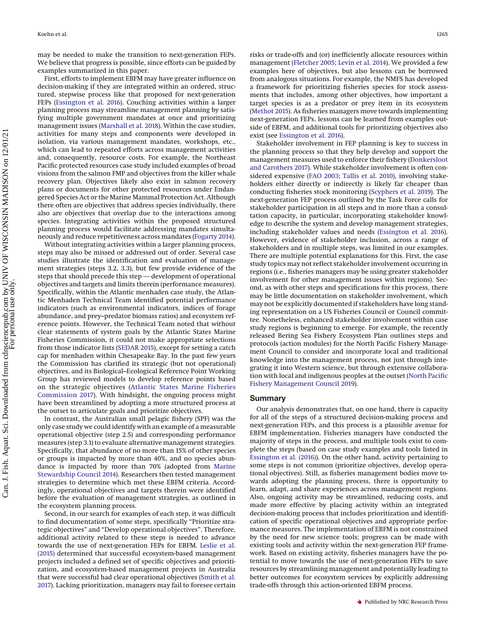may be needed to make the transition to next-generation FEPs. We believe that progress is possible, since efforts can be guided by examples summarized in this paper.

First, efforts to implement EBFM may have greater influence on decision-making if they are integrated within an ordered, structured, stepwise process like that proposed for next-generation FEPs [\(Essington et al. 2016\)](#page-10-2). Couching activities within a larger planning process may streamline management planning by satisfying multiple government mandates at once and prioritizing management issues [\(Marshall et al. 2018\)](#page-10-17). Within the case studies, activities for many steps and components were developed in isolation, via various management mandates, workshops, etc., which can lead to repeated efforts across management activities and, consequently, resource costs. For example, the Northeast Pacific protected resources case study included examples of broad visions from the salmon FMP and objectives from the killer whale recovery plan. Objectives likely also exist in salmon recovery plans or documents for other protected resources under Endangered Species Act or the Marine Mammal Protection Act. Although there often are objectives that address species individually, there also are objectives that overlap due to the interactions among species. Integrating activities within the proposed structured planning process would facilitate addressing mandates simultaneously and reduce repetitiveness across mandates [\(Fogarty 2014\)](#page-10-0).

Without integrating activities within a larger planning process, steps may also be missed or addressed out of order. Several case studies illustrate the identification and evaluation of management strategies (steps 3.2, 3.3), but few provide evidence of the steps that should precede this step — development of operational objectives and targets and limits therein (performance measures). Specifically, within the Atlantic menhaden case study, the Atlantic Menhaden Technical Team identified potential performance indicators (such as environmental indicators, indices of forage abundance, and prey–predator biomass ratios) and ecosystem reference points. However, the Technical Team noted that without clear statements of system goals by the Atlantic States Marine Fisheries Commission, it could not make appropriate selections from those indicator lists [\(SEDAR 2015\)](#page-11-18), except for setting a catch cap for menhaden within Chesapeake Bay. In the past few years the Commission has clarified its strategic (but not operational) objectives, and its Biological–Ecological Reference Point Working Group has reviewed models to develop reference points based on the strategic objectives [\(Atlantic States Marine Fisheries](#page-10-36) [Commission 2017\)](#page-10-36). With hindsight, the ongoing process might have been streamlined by adopting a more structured process at the outset to articulate goals and prioritize objectives.

In contrast, the Australian small pelagic fishery (SPF) was the only case study we could identify with an example of a measurable operational objective (step 2.5) and corresponding performance measures (step 3.1) to evaluate alternative management strategies. Specifically, that abundance of no more than 15% of other species or groups is impacted by more than 40%, and no species abundance is impacted by more than 70% (adopted from [Marine](#page-10-37) [Stewardship Council 2014\)](#page-10-37). Researchers then tested management strategies to determine which met these EBFM criteria. Accordingly, operational objectives and targets therein were identified before the evaluation of management strategies, as outlined in the ecosystem planning process.

Second, in our search for examples of each step, it was difficult to find documentation of some steps, specifically "Prioritize strategic objectives" and "Develop operational objectives". Therefore, additional activity related to these steps is needed to advance towards the use of next-generation FEPs for EBFM. [Leslie et al.](#page-10-38) [\(2015\)](#page-10-38) determined that successful ecosystem-based management projects included a defined set of specific objectives and prioritization, and ecosystem-based management projects in Australia that were successful had clear operational objectives [\(Smith et al.](#page-11-19) [2017\)](#page-11-19). Lacking prioritization, managers may fail to foresee certain risks or trade-offs and (or) inefficiently allocate resources within management [\(Fletcher 2005;](#page-10-39) [Levin et al. 2014\)](#page-10-40). We provided a few examples here of objectives, but also lessons can be borrowed from analogous situations. For example, the NMFS has developed a framework for prioritizing fisheries species for stock assessments that includes, among other objectives, how important a target species is as a predator or prey item in its ecosystem [\(Methot 2015\)](#page-10-41). As fisheries managers move towards implementing next-generation FEPs, lessons can be learned from examples outside of EBFM, and additional tools for prioritizing objectives also exist (see [Essington et al. 2016\)](#page-10-2).

Stakeholder involvement in FEP planning is key to success in the planning process so that they help develop and support the management measures used to enforce their fishery [\(Donkersloot](#page-10-42) [and Carothers 2017\)](#page-10-42). While stakeholder involvement is often considered expensive [\(FAO 2003;](#page-10-6) [Tallis et al. 2010\)](#page-11-20), involving stakeholders either directly or indirectly is likely far cheaper than conducting fisheries stock monitoring [\(Scyphers et al. 2019\)](#page-11-21). The next-generation FEP process outlined by the Task Force calls for stakeholder participation in all steps and in more than a consultation capacity, in particular, incorporating stakeholder knowledge to describe the system and develop management strategies, including stakeholder values and needs [\(Essington et al. 2016\)](#page-10-2). However, evidence of stakeholder inclusion, across a range of stakeholders and in multiple steps, was limited in our examples. There are multiple potential explanations for this. First, the case study topics may not reflect stakeholder involvement occurring in regions (i.e., fisheries managers may be using greater stakeholder involvement for other management issues within regions). Second, as with other steps and specifications for this process, there may be little documentation on stakeholder involvement, which may not be explicitly documented if stakeholders have long standing representation on a US Fisheries Council or Council committee. Nonetheless, enhanced stakeholder involvement within case study regions is beginning to emerge. For example, the recently released Bering Sea Fishery Ecosystem Plan outlines steps and protocols (action modules) for the North Pacific Fishery Management Council to consider and incorporate local and traditional knowledge into the management process, not just through integrating it into Western science, but through extensive collaboration with local and indigenous peoples at the outset [\(North Pacific](#page-11-22) [Fishery Management Council 2019\)](#page-11-22).

#### **Summary**

Our analysis demonstrates that, on one hand, there is capacity for all of the steps of a structured decision-making process and next-generation FEPs, and this process is a plausible avenue for EBFM implementation. Fisheries managers have conducted the majority of steps in the process, and multiple tools exist to complete the steps (based on case study examples and tools listed in [Essington et al. \(2016\)\)](#page-10-2). On the other hand, activity pertaining to some steps is not common (prioritize objectives, develop operational objectives). Still, as fisheries management bodies move towards adopting the planning process, there is opportunity to learn, adapt, and share experiences across management regions. Also, ongoing activity may be streamlined, reducing costs, and made more effective by placing activity within an integrated decision-making process that includes prioritization and identification of specific operational objectives and appropriate performance measures. The implementation of EBFM is not constrained by the need for new science tools; progress can be made with existing tools and activity within the next-generation FEP framework. Based on existing activity, fisheries managers have the potential to move towards the use of next-generation FEPs to save resources by streamlining management and potentially leading to better outcomes for ecosystem services by explicitly addressing trade-offs through this action-oriented EBFM process.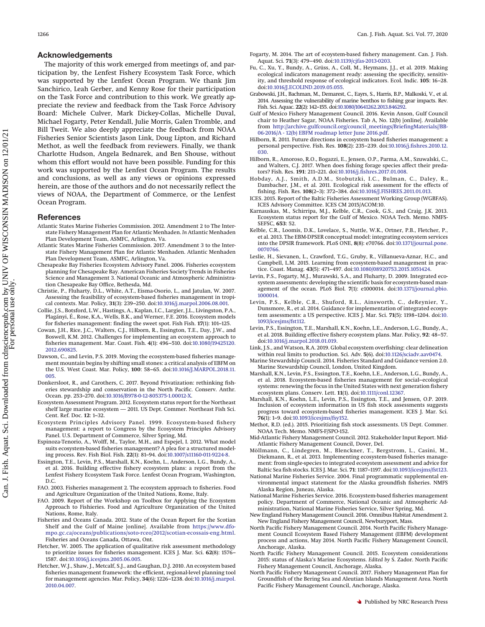The majority of this work emerged from meetings of, and participation by, the Lenfest Fishery Ecosystem Task Force, which was supported by the Lenfest Ocean Program. We thank Jim Sanchirico, Leah Gerber, and Kenny Rose for their participation on the Task Force and contribution to this work. We greatly appreciate the review and feedback from the Task Force Advisory Board: Michele Culver, Mark Dickey-Collas, Michelle Duval, Michael Fogarty, Peter Kendall, Julie Morris, Galen Tromble, and Bill Tweit. We also deeply appreciate the feedback from NOAA Fisheries Senior Scientists Jason Link, Doug Lipton, and Richard Methot, as well the feedback from reviewers. Finally, we thank Charlotte Hudson, Angela Bednarek, and Ben Shouse, without whom this effort would not have been possible. Funding for this work was supported by the Lenfest Ocean Program. The results and conclusions, as well as any views or opinions expressed herein, are those of the authors and do not necessarily reflect the views of NOAA, the Department of Commerce, or the Lenfest Ocean Program.

#### **References**

- <span id="page-10-29"></span>Atlantic States Marine Fisheries Commission. 2012. Amendment 2 to The Interstate Fishery Management Plan for Atlantic Menhaden. *In* Atlantic Menhaden Plan Development Team, ASMFC, Arlington, Va.
- <span id="page-10-36"></span>Atlantic States Marine Fisheries Commission. 2017. Amendment 3 to the Interstate Fishery Management Plan for Atlantic Menhaden. Atlantic Menhaden Plan Development Team, ASMFC, Arlington, Va.
- <span id="page-10-20"></span>Chesapeake Bay Fisheries Ecosystem Advisory Panel. 2006. Fisheries ecosystem planning for Chesapeake Bay. American Fisheries Society Trends in Fisheries Science and Management 3. National Oceanic and Atmospheric Administration Chesapeake Bay Office, Bethesda, Md.
- <span id="page-10-33"></span>Christie, P., Fluharty, D.L., White, A.T., Eisma-Osorio, L., and Jatulan, W. 2007. Assessing the feasibility of ecosystem-based fisheries management in tropical contexts. Mar. Policy, **31**(3): 239–250. doi[:10.1016/j.marpol.2006.08.001.](http://dx.doi.org/10.1016/j.marpol.2006.08.001)
- <span id="page-10-3"></span>Collie, J.S., Botsford, L.W., Hastings, A., Kaplan, I.C., Largier, J.L., Livingston, P.A., Plagányi, É., Rose, K.A., Wells, B.K., and Werner, F.E. 2016. Ecosystem models for fisheries management: finding the sweet spot. Fish Fish. **17**(1): 101–125.
- <span id="page-10-35"></span>Cowan, J.H., Rice, J.C., Walters, C.J., Hilborn, R., Essington, T.E., Day, J.W., and Boswell, K.M. 2012. Challenges for implementing an ecosystem approach to fisheries management. Mar. Coast. Fish. **4**(1): 496–510. doi[:10.1080/19425120.](http://dx.doi.org/10.1080/19425120.2012.690825) [2012.690825.](http://dx.doi.org/10.1080/19425120.2012.690825)
- <span id="page-10-18"></span>Dawson, C., and Levin, P.S. 2019. Moving the ecosystem-based fisheries management mountain begins by shifting small stones: a critical analysis of EBFM on the U.S. West Coast. Mar. Policy, **100**: 58–65. doi[:10.1016/J.MARPOL.2018.11.](http://dx.doi.org/10.1016/J.MARPOL.2018.11.005) [005.](http://dx.doi.org/10.1016/J.MARPOL.2018.11.005)
- <span id="page-10-42"></span>Donkersloot, R., and Carothers, C. 2017. Beyond Privatization: rethinking fisheries stewardship and conservation in the North Pacific. Conserv. Anthr. Ocean. pp. 253–270. doi[:10.1016/B978-0-12-805375-1.00012-X.](http://dx.doi.org/10.1016/B978-0-12-805375-1.00012-X)
- <span id="page-10-22"></span>Ecosystem Assessment Program. 2012. Ecosystem status report for the Northeast shelf large marine ecosystem — 2011. US Dept. Commer. Northeast Fish Sci. Cent. Ref. Doc. **12**: 1–32.
- <span id="page-10-19"></span>Ecosystem Principles Advisory Panel. 1999. Ecosystem-based fishery management: a report to Congress by the Ecosystem Principles Advisory Panel. U.S. Department of Commerce, Silver Spring, Md.
- <span id="page-10-13"></span>Espinoza-Tenorio, A., Wolff, M., Taylor, M.H., and Espejel, I. 2012. What model suits ecosystem-based fisheries management? A plea for a structured modeling process. Rev. Fish Biol. Fish. **22**(1): 81–94. doi[:10.1007/s11160-011-9224-8.](http://dx.doi.org/10.1007/s11160-011-9224-8)
- <span id="page-10-2"></span>Essington, T.E., Levin, P.S., Marshall, K.N., Koehn, L., Anderson, L.G., Bundy, A., et al. 2016. Building effective fishery ecosystem plans: a report from the Lenfest Fishery Ecosystem Task Force. Lenfest Ocean Program, Washington, D.C.
- <span id="page-10-6"></span>FAO. 2003. Fisheries management 2. The ecosystem approach to fisheries. Food and Agriculture Organization of the United Nations, Rome, Italy.
- <span id="page-10-7"></span>FAO. 2009. Report of the Workshop on Toolbox for Applying the Ecosystem Approach to Fishieries. Food and Agriculture Organization of the United Nations, Rome, Italy.
- <span id="page-10-24"></span>Fisheries and Oceans Canada. 2012. State of the Ocean Report for the Scotian Shelf and the Gulf of Maine [online]. Available from [https://www.dfo](https://www.dfo-mpo.gc.ca/oceans/publications/soto-rceo/2012/scotian-ecossais-eng.html)[mpo.gc.ca/oceans/publications/soto-rceo/2012/scotian-ecossais-eng.html.](https://www.dfo-mpo.gc.ca/oceans/publications/soto-rceo/2012/scotian-ecossais-eng.html) Fisheries and Oceans Canada, Ottawa, Ont.
- <span id="page-10-39"></span>Fletcher, W. 2005. The application of qualitative risk assessment methodology to prioritize issues for fisheries management. ICES J. Mar. Sci. **62**(8): 1576– 1587. doi[:10.1016/j.icesjms.2005.06.005.](http://dx.doi.org/10.1016/j.icesjms.2005.06.005)
- <span id="page-10-9"></span>Fletcher, W.J., Shaw, J., Metcalf, S.J., and Gaughan, D.J. 2010. An ecosystem based fisheries management framework: the efficient, regional-level planning tool for management agencies. Mar. Policy, **34**(6): 1226–1238. doi[:10.1016/j.marpol.](http://dx.doi.org/10.1016/j.marpol.2010.04.007) [2010.04.007.](http://dx.doi.org/10.1016/j.marpol.2010.04.007)
- <span id="page-10-0"></span>Fogarty, M. 2014. The art of ecoystem-based fishery management. Can. J. Fish. Aquat. Sci. **71**(3): 479–490. doi[:10.1139/cjfas-2013-0203.](http://dx.doi.org/10.1139/cjfas-2013-0203)
- <span id="page-10-5"></span>Fu, C., Xu, Y., Bundy, A., Grüss, A., Coll, M., Heymans, J.J., et al. 2019. Making ecological indicators management ready: assessing the specificity, sensitivity, and threshold response of ecological indicators. Ecol. Indic. **105**: 16–28. doi[:10.1016/J.ECOLIND.2019.05.055.](http://dx.doi.org/10.1016/J.ECOLIND.2019.05.055)
- <span id="page-10-27"></span>Grabowski, J.H., Bachman, M., Demarest, C., Eayrs, S., Harris, B.P., Malkoski, V., et al. 2014. Assessing the vulnerability of marine benthos to fishing gear impacts. Rev. Fish. Sci. Aquac. **22**(2): 142–155. doi[:10.1080/10641262.2013.846292.](http://dx.doi.org/10.1080/10641262.2013.846292)
- <span id="page-10-15"></span>Gulf of Mexico Fishery Management Council. 2016. Kevin Anson, Gulf Council chair to Heather Sagar, NOAA Fisheries. Tab A, No. 12(b) [online]. Available from [http://archive.gulfcouncil.org/council\\_meetings/BriefingMaterials//BB-](http://archive.gulfcouncil.org/council_meetings/BriefingMaterials//BB-06-2016/A%20-%2012(b)%20EBFM%20roadmap%20letter%20June%202016.pdf)[06-2016/A - 12\(b\) EBFM roadmap letter June 2016.pdf.](http://archive.gulfcouncil.org/council_meetings/BriefingMaterials//BB-06-2016/A%20-%2012(b)%20EBFM%20roadmap%20letter%20June%202016.pdf)
- <span id="page-10-34"></span>Hilborn, R. 2011. Future directions in ecosystem based fisheries management: a personal perspective. Fish. Res. **108**(2): 235–239. doi[:10.1016/j.fishres.2010.12.](http://dx.doi.org/10.1016/j.fishres.2010.12.030) [030.](http://dx.doi.org/10.1016/j.fishres.2010.12.030)
- <span id="page-10-14"></span>Hilborn, R., Amoroso, R.O., Bogazzi, E., Jensen, O.P., Parma, A.M., Szuwalski, C., and Walters, C.J. 2017. When does fishing forage species affect their predators? Fish. Res. **191**: 211–221. doi[:10.1016/j.fishres.2017.01.008.](http://dx.doi.org/10.1016/j.fishres.2017.01.008)
- <span id="page-10-11"></span>Hobday, A.J., Smith, A.D.M., Stobutzki, I.C., Bulman, C., Daley, R., Dambacher, J.M., et al. 2011. Ecological risk assessment for the effects of fishing. Fish. Res. **108**(2–3): 372–384. doi[:10.1016/J.FISHRES.2011.01.013.](http://dx.doi.org/10.1016/J.FISHRES.2011.01.013)
- <span id="page-10-25"></span>ICES. 2015. Report of the Baltic Fisheries Assessment Working Group (WGBFAS). ICES Advisory Committee. ICES CM 2015/ACOM:10.
- <span id="page-10-21"></span>Karnauskas, M., Schirripa, M.J., Kelble, C.R., Cook, G.S., and Craig, J.K. 2013. Ecosystem status report for the Gulf of Mexico. NOAA Tech. Memo. NMFS-SEFSC, **653**: 52.
- <span id="page-10-26"></span>Kelble, C.R., Loomis, D.K., Lovelace, S., Nuttle, W.K., Ortner, P.B., Fletcher, P., et al. 2013. The EBM-DPSER conceptual model: integrating ecosystem services into the DPSIR framework. PLoS ONE, **8**(8): e70766. doi[:10.1371/journal.pone.](http://dx.doi.org/10.1371/journal.pone.0070766) [0070766.](http://dx.doi.org/10.1371/journal.pone.0070766)
- <span id="page-10-38"></span>Leslie, H., Sievanen, L., Crawford, T.G., Gruby, R., Villanueva-Aznar, H.C., and Campbell, L.M. 2015. Learning from ecosystem-based management in practice. Coast. Manag. **43**(5): 471–497. doi[:10.1080/08920753.2015.1051424.](http://dx.doi.org/10.1080/08920753.2015.1051424)
- <span id="page-10-8"></span>Levin, P.S., Fogarty, M.J., Murawski, S.A., and Fluharty, D. 2009. Integrated ecosystem assessments: developing the scientific basis for ecosystem-based management of the ocean. PLoS Biol. **7**(1): e1000014. doi[:10.1371/journal.pbio.](http://dx.doi.org/10.1371/journal.pbio.1000014) [1000014.](http://dx.doi.org/10.1371/journal.pbio.1000014)
- <span id="page-10-40"></span>Levin, P.S., Kelble, C.R., Shuford, R.L., Ainsworth, C., deReynier, Y., Dunsmore, R., et al. 2014. Guidance for implementation of integrated ecosystem assessments: a US perspective. ICES J. Mar. Sci. **71**(5): 1198–1204. doi[:10.](http://dx.doi.org/10.1093/icesjms/fst112) [1093/icesjms/fst112.](http://dx.doi.org/10.1093/icesjms/fst112)
- <span id="page-10-16"></span>Levin, P.S., Essington, T.E., Marshall, K.N., Koehn, L.E., Anderson, L.G., Bundy, A., et al. 2018. Building effective fishery ecosystem plans. Mar. Policy, **92**: 48–57. doi[:10.1016/j.marpol.2018.01.019.](http://dx.doi.org/10.1016/j.marpol.2018.01.019)
- <span id="page-10-4"></span>Link, J.S., and Watson, R.A. 2019. Global ecosystem overfishing: clear delineation within real limits to production. Sci. Adv. **5**(6). doi[:10.1126/sciadv.aav0474.](http://dx.doi.org/10.1126/sciadv.aav0474)
- <span id="page-10-37"></span>Marine Stewardship Council. 2014. Fisheries Standard and Guidance version 2.0. Marine Stewardship Council, London, United Kingdom.
- <span id="page-10-17"></span>Marshall, K.N., Levin, P.S., Essington, T.E., Koehn, L.E., Anderson, L.G., Bundy, A., et al. 2018. Ecosystem-based fisheries management for social–ecological systems: renewing the focus in the United States with next generation fishery ecosystem plans. Conserv. Lett. **11**(1). doi[:10.1111/conl.12367.](http://dx.doi.org/10.1111/conl.12367)
- <span id="page-10-1"></span>Marshall, K.N., Koehn, L.E., Levin, P.S., Essington, T.E., and Jensen, O.P. 2019. Inclusion of ecosystem information in US fish stock assessments suggests progress toward ecosystem-based fisheries management. ICES J. Mar. Sci. **76**(1): 1–9. doi[:10.1093/icesjms/fsy152.](http://dx.doi.org/10.1093/icesjms/fsy152)
- <span id="page-10-41"></span>Methot, R.D. (ed.). 2015. Prioritizing fish stock assessments. US Dept. Commer. NOAA Tech. Memo. NMFS-F/SPO-152.
- <span id="page-10-31"></span>Mid-Atlantic Fishery Management Council. 2012. Stakeholder Input Report. Mid-Atlantic Fishery Management Council, Dover, Del.
- <span id="page-10-10"></span>Möllmann, C., Lindegren, M., Blenckner, T., Bergstrom, L., Casini, M., Diekmann, R., et al. 2013. Implementing ecosystem-based fisheries management: from single-species to integrated ecosystem assessment and advice for Baltic Sea fish stocks. ICES J. Mar. Sci. **71**: 1187–1197. doi[:10.1093/icesjms/fst123.](http://dx.doi.org/10.1093/icesjms/fst123)
- <span id="page-10-32"></span>National Marine Fisheries Service. 2004. Final programmatic supplemental environmental impact statement for the Alaska groundfish fisheries. NMFS Alaska Region, Juneau, Alaska.
- <span id="page-10-12"></span>National Marine Fisheries Service. 2016. Ecosystem-based fisheries management policy. Department of Commerce, National Oceanic and Atmospheric Administration, National Marine Fisheries Service, Silver Spring, Md.
- <span id="page-10-28"></span>New England Fishery Management Council. 2016. Omnibus Habitat Amendment 2. New England Fishery Management Council, Newburyport, Mass.
- <span id="page-10-30"></span>North Pacific Fishery Management Council. 2014. North Pacific Fishery Management Council Ecosystem Based Fishery Management (EBFM) development process and actions, May 2014. North Pacific Fishery Management Council, Anchorage, Alaska.
- <span id="page-10-23"></span>North Pacific Fishery Management Council. 2015. Ecosystem considerations 2015: status of Alaska's Marine Ecosystems. *Edited by* S. Zador. North Pacific Fishery Management Council, Anchorage, Alaska.
- North Pacific Fishery Management Council. 2017. Fishery Management Plan for Groundfish of the Bering Sea and Aleutian Islands Management Area. North Pacific Fishery Management Council, Anchorage, Alaska.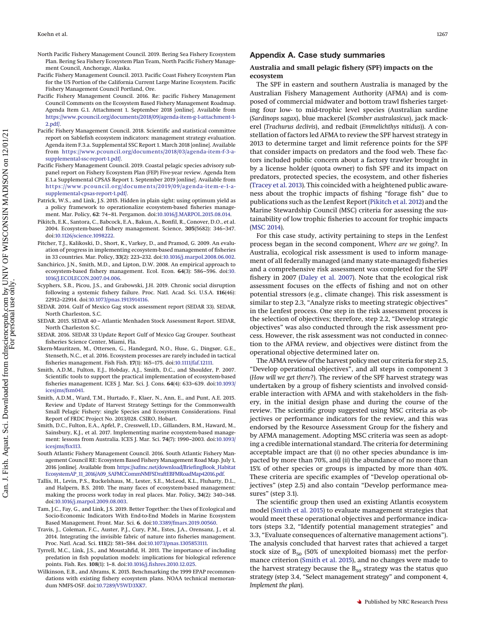- <span id="page-11-22"></span>North Pacific Fishery Management Council. 2019. Bering Sea Fishery Ecosystem Plan. Bering Sea Fishery Ecosystem Plan Team, North Pacific Fishery Management Council, Anchorage, Alaska.
- <span id="page-11-14"></span>Pacific Fishery Management Council. 2013. Pacific Coast Fishery Ecosystem Plan for the US Portion of the California Current Large Marine Ecosystem. Pacific Fishery Management Council Portland, Ore.
- <span id="page-11-11"></span>Pacific Fishery Management Council. 2016. Re: pacific Fishery Management Council Comments on the Ecosystem Based Fishery Management Roadmap. Agenda Item G.1. Attachment 1. September 2018 [online]. Available from [https://www.pcouncil.org/documents/2018/09/agenda-item-g-1-attachment-1-](https://www.pcouncil.org/documents/2018/09/agenda-item-g-1-attachment-1-2.pdf/) [2.pdf/.](https://www.pcouncil.org/documents/2018/09/agenda-item-g-1-attachment-1-2.pdf/)
- <span id="page-11-9"></span>Pacific Fishery Management Council. 2018. Scientific and statistical committee report on Sablefish ecosystem indicators: management strategy evaluation. Agenda item F.3.a. Supplemental SSC Report 1. March 2018 [online]. Available from [https://www.pcouncil.org/documents/2018/03/agenda-item-f-3-a](https://www.pcouncil.org/documents/2018/03/agenda-item-f-3-a-supplemental-ssc-report-1.pdf/)[supplemental-ssc-report-1.pdf/.](https://www.pcouncil.org/documents/2018/03/agenda-item-f-3-a-supplemental-ssc-report-1.pdf/)
- <span id="page-11-8"></span>Pacific Fishery Management Council. 2019. Coastal pelagic species advisory subpanel report on Fishery Ecosystem Plan (FEP) Five-year review. Agenda Item E.1.a Supplemental CPSAS Report 1. September 2019 [online]. Available from [https://www.pcouncil.org/documents/2019/09/agenda-item-e-1-a](https://www.pcouncil.org/documents/2019/09/agenda-item-e-1-a-supplemental-cpsas-report-1.pdf/)[supplemental-cpsas-report-1.pdf/.](https://www.pcouncil.org/documents/2019/09/agenda-item-e-1-a-supplemental-cpsas-report-1.pdf/)
- <span id="page-11-15"></span>Patrick, W.S., and Link, J.S. 2015. Hidden in plain sight: using optimum yield as a policy framework to operationalize ecosystem-based fisheries management. Mar. Policy, **62**: 74–81. Pergamon. doi[:10.1016/J.MARPOL.2015.08.014.](http://dx.doi.org/10.1016/J.MARPOL.2015.08.014)
- <span id="page-11-0"></span>Pikitch, E.K., Santora, C., Babcock, E.A., Bakun, A., Bonfil, R., Conover, D.O., et al. 2004. Ecosystem-based fishery management. Science, **305**(5682): 346–347. doi[:10.1126/science.1098222.](http://dx.doi.org/10.1126/science.1098222)
- <span id="page-11-2"></span>Pitcher, T.J., Kalikoski, D., Short, K., Varkey, D., and Pramod, G. 2009. An evaluation of progress in implementing ecosystem-based management of fisheries in 33 countries. Mar. Policy, **33**(2): 223–232. doi[:10.1016/j.marpol.2008.06.002.](http://dx.doi.org/10.1016/j.marpol.2008.06.002)
- <span id="page-11-6"></span>Sanchirico, J.N., Smith, M.D., and Lipton, D.W. 2008. An empirical approach to ecosystem-based fishery management. Ecol. Econ. **64**(3): 586–596. doi[:10.](http://dx.doi.org/10.1016/J.ECOLECON.2007.04.006) [1016/J.ECOLECON.2007.04.006.](http://dx.doi.org/10.1016/J.ECOLECON.2007.04.006)
- <span id="page-11-21"></span>Scyphers, S.B., Picou, J.S., and Grabowski, J.H. 2019. Chronic social disruption following a systemic fishery failure. Proc. Natl. Acad. Sci. U.S.A. **116**(46): 22912–22914. doi[:10.1073/pnas.1913914116.](http://dx.doi.org/10.1073/pnas.1913914116)
- <span id="page-11-16"></span>SEDAR. 2014. Gulf of Mexico Gag stock assessment report (SEDAR 33). SEDAR, North Charleston, S.C.
- <span id="page-11-18"></span>SEDAR. 2015. SEDAR 40 – Atlantic Menhaden Stock Assessment Report. SEDAR, North Charleston S.C.
- <span id="page-11-17"></span>SEDAR. 2016. SEDAR 33 Update Report Gulf of Mexico Gag Grouper. Southeast fisheries Science Center, Miami, Fla.
- <span id="page-11-4"></span>Skern-Mauritzen, M., Ottersen, G., Handegard, N.O., Huse, G., Dingsør, G.E., Stenseth, N.C., et al. 2016. Ecosystem processes are rarely included in tactical fisheries management. Fish Fish. **17**(1): 165–175. doi[:10.1111/faf.12111.](http://dx.doi.org/10.1111/faf.12111)
- <span id="page-11-5"></span>Smith, A.D.M., Fulton, E.J., Hobday, A.J., Smith, D.C., and Shoulder, P. 2007. Scientific tools to support the practical implementation of ecosystem-based fisheries management. ICES J. Mar. Sci. J. Cons. **64**(4): 633–639. doi[:10.1093/](http://dx.doi.org/10.1093/icesjms/fsm041) icesims/fsm041.
- Smith, A.D.M., Ward, T.M., Hurtado, F., Klaer, N., Ann, E., and Punt, A.E. 2015. Review and Update of Harvest Strategy Settings for the Commonwealth Small Pelagic Fishery: single Species and Ecosystem Considerations. Final Report of FRDC Project No. 2013/028. CSIRO, Hobart.
- <span id="page-11-19"></span>Smith, D.C., Fulton, E.A., Apfel, P., Cresswell, I.D., Gillanders, B.M., Haward, M., Sainsbury, K.J., et al. 2017. Implementing marine ecosystem-based management: lessons from Australia. ICES J. Mar. Sci. **74**(7): 1990–2003. doi[:10.1093/](http://dx.doi.org/10.1093/icesjms/fsx113) [icesjms/fsx113.](http://dx.doi.org/10.1093/icesjms/fsx113)
- <span id="page-11-10"></span>South Atlantic Fishery Management Council. 2016. South Atlantic Fishery Management Council RE: Ecosystem Based Fishery Management Road Map. July 1, 2016 [online]. Available from [https://safmc.net/download/BriefingBook\\_Habitat](https://safmc.net/download/BriefingBook_HabitatEcosystemAP_11_2016/A09_SAFMCCommNMFSDraftEBFMRoadMap42016.pdf) [EcosystemAP\\_11\\_2016/A09\\_SAFMCCommNMFSDraftEBFMRoadMap42016.pdf.](https://safmc.net/download/BriefingBook_HabitatEcosystemAP_11_2016/A09_SAFMCCommNMFSDraftEBFMRoadMap42016.pdf)
- <span id="page-11-20"></span>Tallis, H., Levin, P.S., Ruckelshaus, M., Lester, S.E., McLeod, K.L., Fluharty, D.L., and Halpern, B.S. 2010. The many faces of ecosystem-based management: making the process work today in real places. Mar. Policy, **34**(2): 340–348. doi[:10.1016/j.marpol.2009.08.003.](http://dx.doi.org/10.1016/j.marpol.2009.08.003)
- <span id="page-11-7"></span>Tam, J.C., Fay, G., and Link, J.S. 2019. Better Together: the Uses of Ecological and Socio-Economic Indicators With End-to-End Models in Marine Ecosystem Based Management. Front. Mar. Sci. **6**. doi[:10.3389/fmars.2019.00560.](http://dx.doi.org/10.3389/fmars.2019.00560)
- <span id="page-11-3"></span>Travis, J., Coleman, F.C., Auster, P.J., Cury, P.M., Estes, J.A., Orensanz, J., et al. 2014. Integrating the invisible fabric of nature into fisheries management. Proc. Natl. Acad. Sci. **111**(2): 581–584. doi[:10.1073/pnas.1305853111.](http://dx.doi.org/10.1073/pnas.1305853111)
- <span id="page-11-1"></span>Tyrrell, M.C., Link, J.S., and Moustahfid, H. 2011. The importance of including predation in fish population models: implications for biological reference points. Fish. Res. **108**(1): 1–8. doi[:10.1016/j.fishres.2010.12.025.](http://dx.doi.org/10.1016/j.fishres.2010.12.025)
- <span id="page-11-12"></span>Wilkinson, E.B., and Abrams, K. 2015. Benchmarking the 1999 EPAP recommendations with existing fishery ecosystem plans. NOAA technical memorandum NMFS-OSF. doi[:10.7289/V5WD3XK7.](http://dx.doi.org/10.7289/V5WD3XK7)

# <span id="page-11-13"></span>**Appendix A. Case study summaries**

#### **Australia and small pelagic fishery (SPF) impacts on the ecosystem**

The SPF in eastern and southern Australia is managed by the Australian Fishery Management Authority (AFMA) and is composed of commercial midwater and bottom trawl fisheries targeting four low- to mid-trophic level species (Australian sardine (*Sardinops sagax*), blue mackerel (*Scomber australasicus*), jack mackerel (*Trachurus declivis*), and redbait (*Emmelichthys nitidus*)). A constellation of factors led AFMA to review the SPF harvest strategy in 2013 to determine target and limit reference points for the SPF that consider impacts on predators and the food web. These factors included public concern about a factory trawler brought in by a license holder (quota owner) to fish SPF and its impact on predators, protected species, the ecosystem, and other fisheries [\(Tracey et al. 2013\)](#page-18-0). This coincided with a heightened public awareness about the trophic impacts of fishing "forage fish" due to publications such as the Lenfest Report [\(Pikitch et al. 2012\)](#page-18-1) and the Marine Stewardship Council (MSC) criteria for assessing the sustainability of low trophic fisheries to account for trophic impacts [\(MSC 2014\)](#page-18-2).

For this case study, activity pertaining to steps in the Lenfest process began in the second component, *Where are we going?.* In Australia, ecological risk assessment is used to inform management of all federally managed (and many state-managed) fisheries and a comprehensive risk assessment was completed for the SPF fishery in 2007 [\(Daley et al. 2007\)](#page-17-0). Note that the ecological risk assessment focuses on the effects of fishing and not on other potential stressors (e.g., climate change). This risk assessment is similar to step 2.3, "Analyze risks to meeting strategic objectives" in the Lenfest process. One step in the risk assessment process is the selection of objectives; therefore, step 2.2, "Develop strategic objectives" was also conducted through the risk assessment process. However, the risk assessment was not conducted in connection to the AFMA review, and objectives were distinct from the operational objective determined later on.

The AFMA review of the harvest policy met our criteria for step 2.5, "Develop operational objectives", and all steps in component 3 (*How will we get there?*). The review of the SPF harvest strategy was undertaken by a group of fishery scientists and involved considerable interaction with AFMA and with stakeholders in the fishery, in the initial design phase and during the course of the review. The scientific group suggested using MSC criteria as objectives or performance indicators for the review, and this was endorsed by the Resource Assessment Group for the fishery and by AFMA management. Adopting MSC criteria was seen as adopting a credible international standard. The criteria for determining acceptable impact are that (*i*) no other species abundance is impacted by more than 70%, and (*ii*) the abundance of no more than 15% of other species or groups is impacted by more than 40%. These criteria are specific examples of "Develop operational objectives" (step 2.5) and also contain "Develop performance measures" (step 3.1).

The scientific group then used an existing Atlantis ecosystem model [\(Smith et al. 2015\)](#page-18-3) to evaluate management strategies that would meet these operational objectives and performance indicators (steps 3.2, "Identify potential management strategies" and 3.3, "Evaluate consequences of alternative management actions"). The analysis concluded that harvest rates that achieved a target stock size of  $B_{50}$  (50% of unexploited biomass) met the performance criterion [\(Smith et al. 2015\)](#page-18-3), and no changes were made to the harvest strategy because the  $B_{50}$  strategy was the status quo strategy (step 3.4, "Select management strategy" and component 4, *Implement the plan*).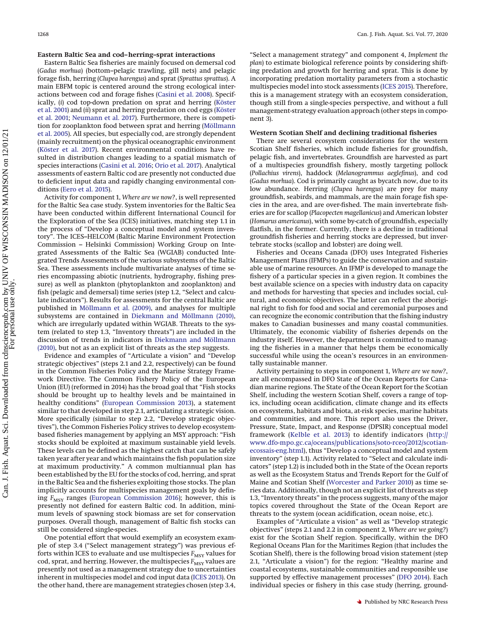## **Eastern Baltic Sea and cod–herring–sprat interactions**

Eastern Baltic Sea fisheries are mainly focused on demersal cod (*Gadus morhua*) (bottom–pelagic trawling, gill nets) and pelagic forage fish, herring (*Clupea harengus*) and sprat (*Sprattus sprattus*). A main EBFM topic is centered around the strong ecological interactions between cod and forage fishes [\(Casini et al. 2008\)](#page-17-1). Specifically, (*i*) cod top-down predation on sprat and herring [\(Köster](#page-18-4) [et al. 2001\)](#page-18-4) and (*ii*) sprat and herring predation on cod eggs [\(Köster](#page-18-4) [et al. 2001;](#page-18-4) [Neumann et al. 2017\)](#page-18-5). Furthermore, there is competition for zooplankton food between sprat and herring [\(Möllmann](#page-18-6) [et al. 2005\)](#page-18-6). All species, but especially cod, are strongly dependent (mainly recruitment) on the physical oceanographic environment [\(Köster et al. 2017\)](#page-18-7). Recent environmental conditions have resulted in distribution changes leading to a spatial mismatch of species interactions [\(Casini et al. 2016;](#page-17-2) [Orio et al. 2017\)](#page-18-8). Analytical assessments of eastern Baltic cod are presently not conducted due to deficient input data and rapidly changing environmental conditions [\(Eero et al. 2015\)](#page-17-3).

Activity for component 1, *Where are we now?*, is well represented for the Baltic Sea case study. System inventories for the Baltic Sea have been conducted within different International Council for the Exploration of the Sea (ICES) initiatives, matching step 1.1 in the process of "Develop a conceptual model and system inventory". The ICES–HELCOM (Baltic Marine Environment Protection Commission – Helsinki Commission) Working Group on Integrated Assessments of the Baltic Sea (WGIAB) conducted Integrated Trends Assessments of the various subsystems of the Baltic Sea. These assessments include multivariate analyses of time series encompassing abiotic (nutrients, hydrography, fishing pressure) as well as plankton (phytoplankton and zooplankton) and fish (pelagic and demersal) time series (step 1.2, "Select and calculate indicators"). Results for assessments for the central Baltic are published in [Möllmann et al. \(2009\),](#page-18-9) and analyses for multiple subsystems are contained in [Diekmann and Möllmann \(2010\),](#page-17-4) which are irregularly updated within WGIAB. Threats to the system (related to step 1.3, "Inventory threats") are included in the discussion of trends in indicators in [Diekmann and Möllmann](#page-17-4) [\(2010\),](#page-17-4) but not as an explicit list of threats as the step suggests.

Evidence and examples of "Articulate a vision" and "Develop strategic objectives" (steps 2.1 and 2.2, respectively) can be found in the Common Fisheries Policy and the Marine Strategy Framework Directive. The Common Fishery Policy of the European Union (EU) (reformed in 2014) has the broad goal that "Fish stocks should be brought up to healthy levels and be maintained in healthy conditions" [\(European Commission 2013\)](#page-17-5), a statement similar to that developed in step 2.1, articulating a strategic vision. More specifically (similar to step 2.2, "Develop strategic objectives"), the Common Fisheries Policy strives to develop ecosystembased fisheries management by applying an MSY approach: "Fish stocks should be exploited at maximum sustainable yield levels. These levels can be defined as the highest catch that can be safely taken year after year and which maintains the fish population size at maximum productivity." A common multiannual plan has been established by the EU for the stocks of cod, herring, and sprat in the Baltic Sea and the fisheries exploiting those stocks. The plan implicitly accounts for multispecies management goals by defining  $F_{\text{MSY}}$  ranges [\(European Commission 2016\)](#page-18-10); however, this is presently not defined for eastern Baltic cod. In addition, minimum levels of spawning stock biomass are set for conservation purposes. Overall though, management of Baltic fish stocks can still be considered single-species.

One potential effort that would exemplify an ecosystem example of step 3.4 ("Select management strategy") was previous efforts within ICES to evaluate and use multispecies  $F_{\text{MSY}}$  values for cod, sprat, and herring. However, the multispecies *F<sub>MSY</sub>* values are presently not used as a management strategy due to uncertainties inherent in multispecies model and cod input data [\(ICES 2013\)](#page-18-11). On the other hand, there are management strategies chosen (step 3.4,

"Select a management strategy" and component 4, *Implement the plan*) to estimate biological reference points by considering shifting predation and growth for herring and sprat. This is done by incorporating predation mortality parameters from a stochastic multispecies model into stock assessments [\(ICES 2015\)](#page-18-12). Therefore, this is a management strategy with an ecosystem consideration, though still from a single-species perspective, and without a full management-strategy evaluation approach (other steps in component 3).

#### **Western Scotian Shelf and declining traditional fisheries**

There are several ecosystem considerations for the western Scotian Shelf fisheries, which include fisheries for groundfish, pelagic fish, and invertebrates. Groundfish are harvested as part of a multispecies groundfish fishery, mostly targeting pollock (*Pollachius virens*), haddock (*Melanogrammus aeglefinus*), and cod (*Gadus morhua*). Cod is primarily caught as bycatch now, due to its low abundance. Herring (*Clupea harengus*) are prey for many groundfish, seabirds, and mammals, are the main forage fish species in the area, and are over-fished. The main invertebrate fisheries are for scallop (*Placopecten magellanicus*) and American lobster (*Homarus americanus*), with some by-catch of groundfish, especially flatfish, in the former. Currently, there is a decline in traditional groundfish fisheries and herring stocks are depressed, but invertebrate stocks (scallop and lobster) are doing well.

Fisheries and Oceans Canada (DFO) uses Integrated Fisheries Management Plans (IFMPs) to guide the conservation and sustainable use of marine resources. An IFMP is developed to manage the fishery of a particular species in a given region. It combines the best available science on a species with industry data on capacity and methods for harvesting that species and includes social, cultural, and economic objectives. The latter can reflect the aboriginal right to fish for food and social and ceremonial purposes and can recognize the economic contribution that the fishing industry makes to Canadian businesses and many coastal communities. Ultimately, the economic viability of fisheries depends on the industry itself. However, the department is committed to managing the fisheries in a manner that helps them be economically successful while using the ocean's resources in an environmentally sustainable manner.

Activity pertaining to steps in component 1, *Where are we now?*, are all encompassed in DFO State of the Ocean Reports for Canadian marine regions. The State of the Ocean Report for the Scotian Shelf, including the western Scotian Shelf, covers a range of topics, including ocean acidification, climate change and its effects on ecosystems, habitats and biota, at-risk species, marine habitats and communities, and more. This report also uses the Driver, Pressure, State, Impact, and Response (DPSIR) conceptual model framework [\(Kelble et al. 2013\)](#page-18-13) to identify indicators [\(http://](http://www.dfo-mpo.gc.ca/oceans/publications/soto-rceo/2012/scotian-ecossais-eng.html) [www.dfo-mpo.gc.ca/oceans/publications/soto-rceo/2012/scotian](http://www.dfo-mpo.gc.ca/oceans/publications/soto-rceo/2012/scotian-ecossais-eng.html)[ecossais-eng.html\)](http://www.dfo-mpo.gc.ca/oceans/publications/soto-rceo/2012/scotian-ecossais-eng.html), thus "Develop a conceptual model and system inventory" (step 1.1). Activity related to "Select and calculate indicators" (step 1.2) is included both in the State of the Ocean reports as well as the Ecosystem Status and Trends Report for the Gulf of Maine and Scotian Shelf [\(Worcester and Parker 2010\)](#page-18-14) as time series data. Additionally, though not an explicit list of threats as step 1.3, "Inventory threats" in the process suggests, many of the major topics covered throughout the State of the Ocean Report are threats to the system (ocean acidification, ocean noise, etc.).

Examples of "Articulate a vision" as well as "Develop strategic objectives" (steps 2.1 and 2.2 in component 2, *Where are we going?*) exist for the Scotian Shelf region. Specifically, within the DFO Regional Oceans Plan for the Maritimes Region (that includes the Scotian Shelf), there is the following broad vision statement (step 2.1, "Articulate a vision") for the region: "Healthy marine and coastal ecosystems, sustainable communities and responsible use supported by effective management processes" [\(DFO 2014\)](#page-17-6). Each individual species or fishery in this case study (herring, ground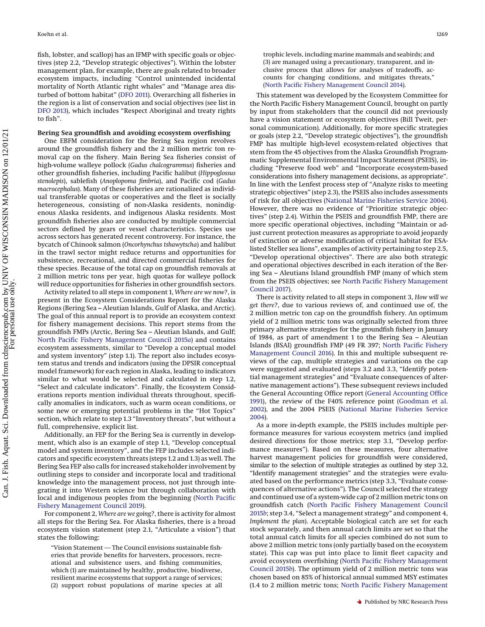fish, lobster, and scallop) has an IFMP with specific goals or objectives (step 2.2, "Develop strategic objectives"). Within the lobster management plan, for example, there are goals related to broader ecosystem impacts, including "Control unintended incidental mortality of North Atlantic right whales" and "Manage area disturbed of bottom habitat" [\(DFO 2011\)](#page-17-7). Overarching all fisheries in the region is a list of conservation and social objectives (see list in [DFO 2013\)](#page-17-8), which includes "Respect Aboriginal and treaty rights to fish".

#### **Bering Sea groundfish and avoiding ecosystem overfishing**

One EBFM consideration for the Bering Sea region revolves around the groundfish fishery and the 2 million metric ton removal cap on the fishery. Main Bering Sea fisheries consist of high-volume walleye pollock (*Gadus chalcogrammus*) fisheries and other groundfish fisheries, including Pacific halibut (*Hippoglossus stenolepis*), sablefish (*Anoplopoma fimbria*), and Pacific cod (*Gadus macrocephalus*). Many of these fisheries are rationalized as individual transferable quotas or cooperatives and the fleet is socially heterogeneous, consisting of non-Alaska residents, nonindigenous Alaska residents, and indigenous Alaska residents. Most groundfish fisheries also are conducted by multiple commercial sectors defined by gears or vessel characteristics. Species use across sectors has generated recent controversy. For instance, the bycatch of Chinook salmon (*Oncorhynchus tshawytscha*) and halibut in the trawl sector might reduce returns and opportunities for subsistence, recreational, and directed commercial fisheries for these species. Because of the total cap on groundfish removals at 2 million metric tons per year, high quotas for walleye pollock will reduce opportunities for fisheries in other groundfish sectors.

Activity related to all steps in component 1, *Where are we now?*, is present in the Ecosystem Considerations Report for the Alaska Regions (Bering Sea – Aleutian Islands, Gulf of Alaska, and Arctic). The goal of this annual report is to provide an ecosystem context for fishery management decisions. This report stems from the groundfish FMPs (Arctic, Bering Sea – Aleutian Islands, and Gulf; [North Pacific Fishery Management Council 2015](#page-18-15)*a*) and contains ecosystem assessments, similar to "Develop a conceptual model and system inventory" (step 1.1). The report also includes ecosystem status and trends and indicators (using the DPSIR conceptual model framework) for each region in Alaska, leading to indicators similar to what would be selected and calculated in step 1.2, "Select and calculate indicators". Finally, the Ecosystem Considerations reports mention individual threats throughout, specifically anomalies in indicators, such as warm ocean conditions, or some new or emerging potential problems in the "Hot Topics" section, which relate to step 1.3 "Inventory threats", but without a full, comprehensive, explicit list.

Additionally, an FEP for the Bering Sea is currently in development, which also is an example of step 1.1, "Develop conceptual model and system inventory", and the FEP includes selected indicators and specific ecosystem threats (steps 1.2 and 1.3) as well. The Bering Sea FEP also calls for increased stakeholder involvement by outlining steps to consider and incorporate local and traditional knowledge into the management process, not just through integrating it into Western science but through collaboration with local and indigenous peoples from the beginning [\(North Pacific](#page-18-16) [Fishery Management Council 2019\)](#page-18-16).

For component 2, *Where are we going?*, there is activity for almost all steps for the Bering Sea. For Alaska fisheries, there is a broad ecosystem vision statement (step 2.1, "Articulate a vision") that states the following:

"Vision Statement — The Council envisions sustainable fisheries that provide benefits for harvesters, processors, recreational and subsistence users, and fishing communities, which (1) are maintained by healthy, productive, biodiverse, resilient marine ecosystems that support a range of services; (2) support robust populations of marine species at all

trophic levels, including marine mammals and seabirds; and (3) are managed using a precautionary, transparent, and inclusive process that allows for analyses of tradeoffs, accounts for changing conditions, and mitigates threats," [\(North Pacific Fishery Management Council 2014\)](#page-18-17).

This statement was developed by the Ecosystem Committee for the North Pacific Fishery Management Council, brought on partly by input from stakeholders that the council did not previously have a vision statement or ecosystem objectives (Bill Tweit, personal communication). Additionally, for more specific strategies or goals (step 2.2, "Develop strategic objectives"), the groundfish FMP has multiple high-level ecosystem-related objectives that stem from the 45 objectives from the Alaska Groundfish Programmatic Supplemental Environmental Impact Statement (PSEIS), including "Preserve food web" and "Incorporate ecosystem-based considerations into fishery management decisions, as appropriate". In line with the Lenfest process step of "Analyze risks to meeting strategic objectives" (step 2.3), the PSEIS also includes assessments of risk for all objectives [\(National Marine Fisheries Service 2004\)](#page-18-18). However, there was no evidence of "Prioritize strategic objectives" (step 2.4). Within the PSEIS and groundfish FMP, there are more specific operational objectives, including "Maintain or adjust current protection measures as appropriate to avoid jeopardy of extinction or adverse modification of critical habitat for ESAlisted Steller sea lions", examples of activity pertaining to step 2.5, "Develop operational objectives". There are also both strategic and operational objectives described in each iteration of the Bering Sea – Aleutians Island groundfish FMP (many of which stem from the PSEIS objectives; see [North Pacific Fishery Management](#page-18-19) [Council 2017\)](#page-18-19).

There is activity related to all steps in component 3, *How will we get there?*, due to various reviews of, and continued use of, the 2 million metric ton cap on the groundfish fishery. An optimum yield of 2 million metric tons was originally selected from three primary alternative strategies for the groundfish fishery in January of 1984, as part of amendment 1 to the Bering Sea – Aleutian Islands (BSAI) groundfish FMP (49 FR 397; [North Pacific Fishery](#page-18-20) [Management Council 2016\)](#page-18-20). In this and multiple subsequent reviews of the cap, multiple strategies and variations on the cap were suggested and evaluated (steps 3.2 and 3.3, "Identify potential management strategies" and "Evaluate consequences of alternative management actions"). These subsequent reviews included the General Accounting Office report [\(General Accounting Office](#page-18-21) [1991\)](#page-18-21), the review of the F40% reference point [\(Goodman et al.](#page-18-22) [2002\)](#page-18-22), and the 2004 PSEIS [\(National Marine Fisheries Service](#page-18-18) [2004\)](#page-18-18).

As a more in-depth example, the PSEIS includes multiple performance measures for various ecosystem metrics (and implied desired directions for those metrics; step 3.1, "Develop performance measures"). Based on these measures, four alternative harvest management policies for groundfish were considered, similar to the selection of multiple strategies as outlined by step 3.2, "Identify management strategies" and the strategies were evaluated based on the performance metrics (step 3.3, "Evaluate consequences of alternative actions"). The Council selected the strategy and continued use of a system-wide cap of 2 million metric tons on groundfish catch [\(North Pacific Fishery Management Council](#page-18-23) [2015](#page-18-23)*b*; step 3.4, "Select a management strategy" and component 4, *Implement the plan*). Acceptable biological catch are set for each stock separately, and then annual catch limits are set so that the total annual catch limits for all species combined do not sum to above 2 million metric tons (only partially based on the ecosystem state). This cap was put into place to limit fleet capacity and avoid ecosystem overfishing [\(North Pacific Fishery Management](#page-18-23) [Council 2015](#page-18-23)*b*). The optimum yield of 2 million metric tons was chosen based on 85% of historical annual summed MSY estimates (1.4 to 2 million metric tons; [North Pacific Fishery Management](#page-18-23)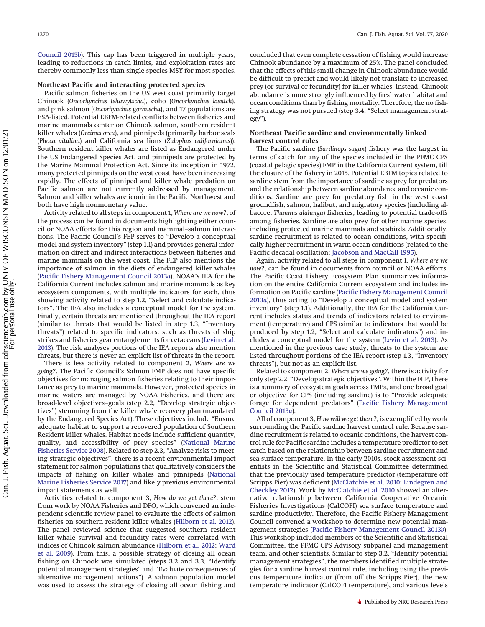[Council 2015](#page-18-23)*b*). This cap has been triggered in multiple years, leading to reductions in catch limits, and exploitation rates are thereby commonly less than single-species MSY for most species.

#### **Northeast Pacific and interacting protected species**

Pacific salmon fisheries on the US west coast primarily target Chinook (*Oncorhynchus tshawytscha*), coho (*Oncorhynchus kisutch*), and pink salmon (*Oncorhynchus gorbuscha*), and 17 populations are ESA-listed. Potential EBFM-related conflicts between fisheries and marine mammals center on Chinook salmon, southern resident killer whales (*Orcinus orca*), and pinnipeds (primarily harbor seals (*Phoca vitulina*) and California sea lions (*Zalophus californianus*)). Southern resident killer whales are listed as Endangered under the US Endangered Species Act, and pinnipeds are protected by the Marine Mammal Protection Act. Since its inception in 1972, many protected pinnipeds on the west coast have been increasing rapidly. The effects of pinniped and killer whale predation on Pacific salmon are not currently addressed by management. Salmon and killer whales are iconic in the Pacific Northwest and both have high nonmonetary value.

Activity related to all steps in component 1, *Where are we now?*, of the process can be found in documents highlighting either council or NOAA efforts for this region and mammal–salmon interactions. The Pacific Council's FEP serves to "Develop a conceptual model and system inventory" (step 1.1) and provides general information on direct and indirect interactions between fisheries and marine mammals on the west coast. The FEP also mentions the importance of salmon in the diets of endangered killer whales [\(Pacific Fishery Management Council 2013](#page-18-24)*a*). NOAA's IEA for the California Current includes salmon and marine mammals as key ecosystem components, with multiple indicators for each, thus showing activity related to step 1.2, "Select and calculate indicators". The IEA also includes a conceptual model for the system. Finally, certain threats are mentioned throughout the IEA report (similar to threats that would be listed in step 1.3, "Inventory threats") related to specific indicators, such as threats of ship strikes and fisheries gear entanglements for cetaceans [\(Levin et al.](#page-18-25) [2013\)](#page-18-25). The risk analyses portions of the IEA reports also mention threats, but there is never an explicit list of threats in the report.

There is less activity related to component 2, *Where are we going?*. The Pacific Council's Salmon FMP does not have specific objectives for managing salmon fisheries relating to their importance as prey to marine mammals. However, protected species in marine waters are managed by NOAA Fisheries, and there are broad-level objectives–goals (step 2.2, "Develop strategic objectives") stemming from the killer whale recovery plan (mandated by the Endangered Species Act). These objectives include "Ensure adequate habitat to support a recovered population of Southern Resident killer whales. Habitat needs include sufficient quantity, quality, and accessibility of prey species" [\(National Marine](#page-18-26) [Fisheries Service 2008\)](#page-18-26). Related to step 2.3, "Analyze risks to meeting strategic objectives", there is a recent environmental impact statement for salmon populations that qualitatively considers the impacts of fishing on killer whales and pinnipeds [\(National](#page-18-27) [Marine Fisheries Service 2017\)](#page-18-27) and likely previous environmental impact statements as well.

Activities related to component 3, *How do we get there?*, stem from work by NOAA Fisheries and DFO, which convened an independent scientific review panel to evaluate the effects of salmon fisheries on southern resident killer whales [\(Hilborn et al. 2012\)](#page-18-28). The panel reviewed science that suggested southern resident killer whale survival and fecundity rates were correlated with indices of Chinook salmon abundance [\(Hilborn et al. 2012;](#page-18-28) [Ward](#page-18-29) [et al. 2009\)](#page-18-29). From this, a possible strategy of closing all ocean fishing on Chinook was simulated (steps 3.2 and 3.3, "Identify potential management strategies" and "Evaluate consequences of alternative management actions"). A salmon population model was used to assess the strategy of closing all ocean fishing and

concluded that even complete cessation of fishing would increase Chinook abundance by a maximum of 25%. The panel concluded that the effects of this small change in Chinook abundance would be difficult to predict and would likely not translate to increased prey (or survival or fecundity) for killer whales. Instead, Chinook abundance is more strongly influenced by freshwater habitat and ocean conditions than by fishing mortality. Therefore, the no fishing strategy was not pursued (step 3.4, "Select management strategy").

#### **Northeast Pacific sardine and environmentally linked harvest control rules**

The Pacific sardine (*Sardinops sagax*) fishery was the largest in terms of catch for any of the species included in the PFMC CPS (coastal pelagic species) FMP in the California Current system, till the closure of the fishery in 2015. Potential EBFM topics related to sardine stem from the importance of sardine as prey for predators and the relationship between sardine abundance and oceanic conditions. Sardine are prey for predatory fish in the west coast groundfish, salmon, halibut, and migratory species (including albacore, *Thunnus alalunga*) fisheries, leading to potential trade-offs among fisheries. Sardine are also prey for other marine species, including protected marine mammals and seabirds. Additionally, sardine recruitment is related to ocean conditions, with specifically higher recruitment in warm ocean conditions (related to the Pacific decadal oscillation; [Jacobson and MacCall 1995\)](#page-18-30).

Again, activity related to all steps in component 1, *Where are we now?*, can be found in documents from council or NOAA efforts. The Pacific Coast Fishery Ecosystem Plan summarizes information on the entire California Current ecosystem and includes information on Pacific sardine [\(Pacific Fishery Management Council](#page-18-24) [2013](#page-18-24)*a*), thus acting to "Develop a conceptual model and system inventory" (step 1.1). Additionally, the IEA for the California Current includes status and trends of indicators related to environment (temperature) and CPS (similar to indicators that would be produced by step 1.2, "Select and calculate indicators") and includes a conceptual model for the system [\(Levin et al. 2013\)](#page-18-25). As mentioned in the previous case study, threats to the system are listed throughout portions of the IEA report (step 1.3, "Inventory threats"), but not as an explicit list.

Related to component 2, *Where are we going?*, there is activity for only step 2.2, "Develop strategic objectives". Within the FEP, there is a summary of ecosystem goals across FMPs, and one broad goal or objective for CPS (including sardine) is to "Provide adequate forage for dependent predators" [\(Pacific Fishery Management](#page-18-24) [Council 2013](#page-18-24)*a*).

All of component 3, *How will we get there?*, is exemplified by work surrounding the Pacific sardine harvest control rule. Because sardine recruitment is related to oceanic conditions, the harvest control rule for Pacific sardine includes a temperature predictor to set catch based on the relationship between sardine recruitment and sea surface temperature. In the early 2010s, stock assessment scientists in the Scientific and Statistical Committee determined that the previously used temperature predictor (temperature off Scripps Pier) was deficient [\(McClatchie et al. 2010;](#page-18-31) [Lindegren and](#page-18-32) [Checkley 2012\)](#page-18-32). Work by [McClatchie et al. 2010](#page-18-31) showed an alternative relationship between California Cooperative Oceanic Fisheries Investigations (CalCOFI) sea surface temperature and sardine productivity. Therefore, the Pacific Fishery Management Council convened a workshop to determine new potential management strategies [\(Pacific Fishery Management Council 2013](#page-18-33)*b*). This workshop included members of the Scientific and Statistical Committee, the PFMC CPS Advisory subpanel and management team, and other scientists. Similar to step 3.2, "Identify potential management strategies", the members identified multiple strategies for a sardine harvest control rule, including using the previous temperature indicator (from off the Scripps Pier), the new temperature indicator (CalCOFI temperature), and various levels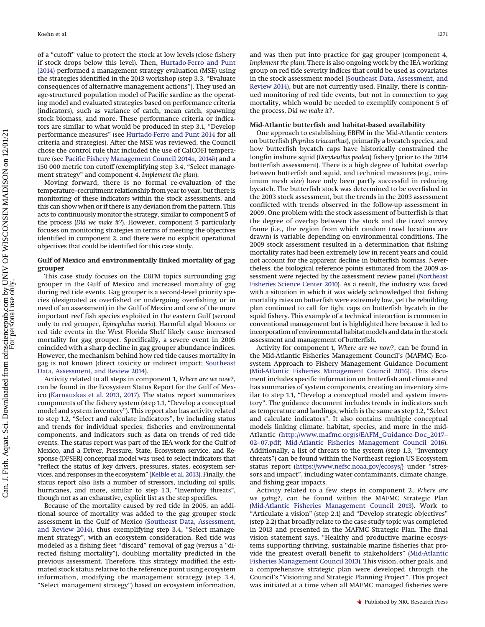of a "cutoff" value to protect the stock at low levels (close fishery if stock drops below this level). Then, [Hurtado-Ferro and Punt](#page-18-34) [\(2014\)](#page-18-34) performed a management strategy evaluation (MSE) using the strategies identified in the 2013 workshop (step 3.3, "Evaluate consequences of alternative management actions"). They used an age-structured population model of Pacific sardine as the operating model and evaluated strategies based on performance criteria (indicators), such as variance of catch, mean catch, spawning stock biomass, and more. These performance criteria or indicators are similar to what would be produced in step 3.1, "Develop performance measures" (see [Hurtado-Ferro and Punt 2014](#page-18-34) for all criteria and strategies). After the MSE was reviewed, the Council chose the control rule that included the use of CalCOFI temperature (see [Pacific Fishery Management Council 2014](#page-18-35)*a*, [2014](#page-18-36)*b*) and a 150 000 metric ton cutoff (exemplifying step 3.4, "Select management strategy" and component 4, *Implement the plan*).

Moving forward, there is no formal re-evaluation of the temperature–recruitment relationship from year to year, but there is monitoring of these indicators within the stock assessments, and this can show when or if there is any deviation from the pattern. This acts to continuously monitor the strategy, similar to component 5 of the process (*Did we make it?*). However, component 5 particularly focuses on monitoring strategies in terms of meeting the objectives identified in component 2, and there were no explicit operational objectives that could be identified for this case study.

# **Gulf of Mexico and environmentally linked mortality of gag grouper**

This case study focuses on the EBFM topics surrounding gag grouper in the Gulf of Mexico and increased mortality of gag during red tide events. Gag grouper is a second-level priority species (designated as overfished or undergoing overfishing or in need of an assessment) in the Gulf of Mexico and one of the more important reef fish species exploited in the eastern Gulf (second only to red grouper, *Epinephelus morio*). Harmful algal blooms or red tide events in the West Florida Shelf likely cause increased mortality for gag grouper. Specifically, a severe event in 2005 coincided with a sharp decline in gag grouper abundance indices. However, the mechanism behind how red tide causes mortality in gag is not known (direct toxicity or indirect impact; [Southeast](#page-18-37) [Data, Assessment, and Review 2014\)](#page-18-37).

Activity related to all steps in component 1, *Where are we now?*, can be found in the Ecosystem Status Report for the Gulf of Mexico [\(Karnauskas et al. 2013,](#page-18-38) [2017\)](#page-18-39). The status report summarizes components of the fishery system (step 1.1, "Develop a conceptual model and system inventory"). This report also has activity related to step 1.2, "Select and calculate indicators", by including status and trends for individual species, fisheries and environmental components, and indicators such as data on trends of red tide events. The status report was part of the IEA work for the Gulf of Mexico, and a Driver, Pressure, State, Ecosystem service, and Response (DPSER) conceptual model was used to select indicators that "reflect the status of key drivers, pressures, states, ecosystem services, and responses in the ecosystem" [\(Kelble et al. 2013\)](#page-18-13). Finally, the status report also lists a number of stressors, including oil spills, hurricanes, and more, similar to step 1.3, "Inventory threats", though not as an exhaustive, explicit list as the step specifies.

Because of the mortality caused by red tide in 2005, an additional source of mortality was added to the gag grouper stock assessment in the Gulf of Mexico [\(Southeast Data, Assessment,](#page-18-37) [and Review 2014\)](#page-18-37), thus exemplifying step 3.4, "Select management strategy", with an ecosystem consideration. Red tide was modeled as a fishing fleet "discard" removal of gag (versus a "directed fishing mortality"), doubling mortality predicted in the previous assessment. Therefore, this strategy modified the estimated stock status relative to the reference point using ecosystem information, modifying the management strategy (step 3.4, "Select management strategy") based on ecosystem information, and was then put into practice for gag grouper (component 4, *Implement the plan*). There is also ongoing work by the IEA working group on red tide severity indices that could be used as covariates in the stock assessment model [\(Southeast Data, Assessment, and](#page-18-37) [Review 2014\)](#page-18-37), but are not currently used. Finally, there is continued monitoring of red tide events, but not in connection to gag mortality, which would be needed to exemplify component 5 of the process, *Did we make it?*.

#### **Mid-Atlantic butterfish and habitat-based availability**

One approach to establishing EBFM in the Mid-Atlantic centers on butterfish (*Peprilus triacanthus*), primarily a bycatch species, and how butterfish bycatch caps have historically constrained the longfin inshore squid (*Doryteuthis pealeii*) fishery (prior to the 2014 butterfish assessment). There is a high degree of habitat overlap between butterfish and squid, and technical measures (e.g., minimum mesh size) have only been partly successful in reducing bycatch. The butterfish stock was determined to be overfished in the 2003 stock assessment, but the trends in the 2003 assessment conflicted with trends observed in the follow-up assessment in 2009. One problem with the stock assessment of butterfish is that the degree of overlap between the stock and the trawl survey frame (i.e., the region from which random trawl locations are drawn) is variable depending on environmental conditions. The 2009 stock assessment resulted in a determination that fishing mortality rates had been extremely low in recent years and could not account for the apparent decline in butterfish biomass. Nevertheless, the biological reference points estimated from the 2009 assessment were rejected by the assessment review panel [\(Northeast](#page-18-40) [Fisheries Science Center 2010\)](#page-18-40). As a result, the industry was faced with a situation in which it was widely acknowledged that fishing mortality rates on butterfish were extremely low, yet the rebuilding plan continued to call for tight caps on butterfish bycatch in the squid fishery. This example of a technical interaction is common in conventional management but is highlighted here because it led to incorporation of environmental habitat models and data in the stock assessment and management of butterfish.

Activity for component 1, *Where are we now?*, can be found in the Mid-Atlantic Fisheries Management Council's (MAFMC) Ecosystem Approach to Fishery Management Guidance Document [\(Mid-Atlantic Fisheries Management Council 2016\)](#page-18-41). This document includes specific information on butterfish and climate and has summaries of system components, creating an inventory similar to step 1.1, "Develop a conceptual model and system inventory". The guidance document includes trends in indicators such as temperature and landings, which is the same as step 1.2, "Select and calculate indicators". It also contains multiple conceptual models linking climate, habitat, species, and more in the mid-Atlantic [\(http://www.mafmc.org/s/EAFM\\_Guidance-Doc\\_2017–](http://www.mafmc.org/s/EAFM_Guidance-Doc_2017–02–07.pdf) [02–07.pdf;](http://www.mafmc.org/s/EAFM_Guidance-Doc_2017–02–07.pdf) [Mid-Atlantic Fisheries Management Council 2016\)](#page-18-41). Additionally, a list of threats to the system (step 1.3, "Inventory threats") can be found within the Northeast region US Ecosystem status report [\(https://www.nefsc.noaa.gov/ecosys/\)](https://www.nefsc.noaa.gov/ecosys/) under "stressors and impact", including water contaminants, climate change, and fishing gear impacts.

Activity related to a few steps in component 2, *Where are we going?*, can be found within the MAFMC Strategic Plan [\(Mid-Atlantic Fisheries Management Council 2013\)](#page-18-42). Work to "Articulate a vision" (step 2.1) and "Develop strategic objectives" (step 2.2) that broadly relate to the case study topic was completed in 2013 and presented in the MAFMC Strategic Plan. The final vision statement says, "Healthy and productive marine ecosystems supporting thriving, sustainable marine fisheries that provide the greatest overall benefit to stakeholders" [\(Mid-Atlantic](#page-18-42) [Fisheries Management Council 2013\)](#page-18-42). This vision, other goals, and a comprehensive strategic plan were developed through the Council's "Visioning and Strategic Planning Project". This project was initiated at a time when all MAFMC managed fisheries were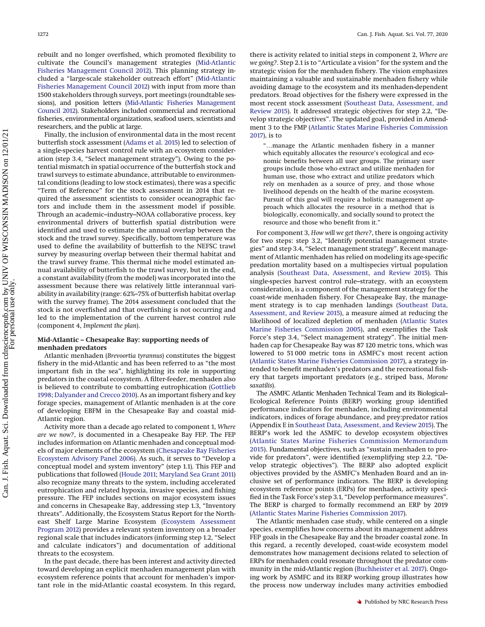rebuilt and no longer overfished, which promoted flexibility to cultivate the Council's management strategies [\(Mid-Atlantic](#page-18-43) [Fisheries Management Council 2012\)](#page-18-43). This planning strategy included a "large-scale stakeholder outreach effort" [\(Mid-Atlantic](#page-18-43) [Fisheries Management Council 2012\)](#page-18-43) with input from more than 1500 stakeholders through surveys, port meetings (roundtable sessions), and position letters [\(Mid-Atlantic Fisheries Management](#page-18-43) [Council 2012\)](#page-18-43). Stakeholders included commercial and recreational fisheries, environmental organizations, seafood users, scientists and researchers, and the public at large.

Finally, the inclusion of environmental data in the most recent butterfish stock assessment [\(Adams et al. 2015\)](#page-17-9) led to selection of a single-species harvest control rule with an ecosystem consideration (step 3.4, "Select management strategy"). Owing to the potential mismatch in spatial occurrence of the butterfish stock and trawl surveys to estimate abundance, attributable to environmental conditions (leading to low stock estimates), there was a specific "Term of Reference" for the stock assessment in 2014 that required the assessment scientists to consider oceanographic factors and include them in the assessment model if possible. Through an academic–industry–NOAA collaborative process, key environmental drivers of butterfish spatial distribution were identified and used to estimate the annual overlap between the stock and the trawl survey. Specifically, bottom temperature was used to define the availability of butterfish to the NEFSC trawl survey by measuring overlap between their thermal habitat and the trawl survey frame. This thermal niche model estimated annual availability of butterfish to the trawl survey, but in the end, a constant availability (from the model) was incorporated into the assessment because there was relatively little interannual variability in availability (range: 62%–75% of butterfish habitat overlap with the survey frame). The 2014 assessment concluded that the stock is not overfished and that overfishing is not occurring and led to the implementation of the current harvest control rule (component 4, *Implement the plan*).

#### **Mid-Atlantic – Chesapeake Bay: supporting needs of menhaden predators**

Atlantic menhaden (*Brevoortia tyrannus*) constitutes the biggest fishery in the mid-Atlantic and has been referred to as "the most important fish in the sea", highlighting its role in supporting predators in the coastal ecosystem. A filter-feeder, menhaden also is believed to contribute to combatting eutrophication [\(Gottlieb](#page-18-44) [1998;](#page-18-44) [Dalyander and Crecco 2010\)](#page-17-10). As an important fishery and key forage species, management of Atlantic menhaden is at the core of developing EBFM in the Chesapeake Bay and coastal mid-Atlantic region.

Activity more than a decade ago related to component 1, *Where are we now?*, is documented in a Chesapeake Bay FEP. The FEP includes information on Atlantic menhaden and conceptual models of major elements of the ecosystem [\(Chesapeake Bay Fisheries](#page-17-11) [Ecosystem Advisory Panel 2006\)](#page-17-11). As such, it serves to "Develop a conceptual model and system inventory" (step 1.1). This FEP and publications that followed [\(Houde 2011;](#page-18-45) [Maryland Sea Grant 2011\)](#page-18-46) also recognize many threats to the system, including accelerated eutrophication and related hypoxia, invasive species, and fishing pressure. The FEP includes sections on major ecosystem issues and concerns in Chesapeake Bay, addressing step 1.3, "Inventory threats". Additionally, the Ecosystem Status Report for the Northeast Shelf Large Marine Ecosystem [\(Ecosystem Assessment](#page-17-12) [Program 2012\)](#page-17-12) provides a relevant system inventory on a broader regional scale that includes indicators (informing step 1.2, "Select and calculate indicators") and documentation of additional threats to the ecosystem.

In the past decade, there has been interest and activity directed toward developing an explicit menhaden management plan with ecosystem reference points that account for menhaden's important role in the mid-Atlantic coastal ecosystem. In this regard, there is activity related to initial steps in component 2, *Where are we going?*. Step 2.1 is to "Articulate a vision" for the system and the strategic vision for the menhaden fishery. The vision emphasizes maintaining a valuable and sustainable menhaden fishery while avoiding damage to the ecosystem and its menhaden-dependent predators. Broad objectives for the fishery were expressed in the most recent stock assessment [\(Southeast Data, Assessment, and](#page-18-47) [Review 2015\)](#page-18-47). It addressed strategic objectives for step 2.2, "Develop strategic objectives". The updated goal, provided in Amendment 3 to the FMP [\(Atlantic States Marine Fisheries Commission](#page-17-13) [2017\)](#page-17-13), is to

"…manage the Atlantic menhaden fishery in a manner which equitably allocates the resource's ecological and economic benefits between all user groups. The primary user groups include those who extract and utilize menhaden for human use, those who extract and utilize predators which rely on menhaden as a source of prey, and those whose livelihood depends on the health of the marine ecosystem. Pursuit of this goal will require a holistic management approach which allocates the resource in a method that is biologically, economically, and socially sound to protect the resource and those who benefit from it."

For component 3, *How will we get there?*, there is ongoing activity for two steps: step 3.2, "Identify potential management strategies" and step 3.4, "Select management strategy". Recent management of Atlantic menhaden has relied on modeling its age-specific predation mortality based on a multispecies virtual population analysis [\(Southeast Data, Assessment, and Review 2015\)](#page-18-47). This single-species harvest control rule–strategy, with an ecosystem consideration, is a component of the management strategy for the coast-wide menhaden fishery. For Chesapeake Bay, the management strategy is to cap menhaden landings [\(Southeast Data,](#page-18-47) [Assessment, and Review 2015\)](#page-18-47), a measure aimed at reducing the likelihood of localized depletion of menhaden [\(Atlantic States](#page-17-14) [Marine Fisheries Commission 2005\)](#page-17-14), and exemplifies the Task Force's step 3.4, "Select management strategy". The initial menhaden cap for Chesapeake Bay was 87 120 metric tons, which was lowered to 51 000 metric tons in ASMFC's most recent action [\(Atlantic States Marine Fisheries Commission 2017\)](#page-17-13), a strategy intended to benefit menhaden's predators and the recreational fishery that targets important predators (e.g., striped bass, *Morone saxatilis*).

The ASMFC Atlantic Menhaden Technical Team and its Biological– Ecological Reference Points (BERP) working group identified performance indicators for menhaden, including environmental indicators, indices of forage abundance, and prey:predator ratios (Appendix E in [Southeast Data, Assessment, and Review 2015\)](#page-18-47). The BERP's work led the ASMFC to develop ecosystem objectives [\(Atlantic States Marine Fisheries Commission Memorandum](#page-17-15) [2015\)](#page-17-15). Fundamental objectives, such as "sustain menhaden to provide for predators", were identified (exemplifying step 2.2, "Develop strategic objectives"). The BERP also adopted explicit objectives provided by the ASMFC's Menhaden Board and an inclusive set of performance indicators. The BERP is developing ecosystem reference points (ERPs) for menhaden, activity specified in the Task Force's step 3.1, "Develop performance measures". The BERP is charged to formally recommend an ERP by 2019 [\(Atlantic States Marine Fisheries Commission 2017\)](#page-17-13).

The Atlantic menhaden case study, while centered on a single species, exemplifies how concerns about its management address FEP goals in the Chesapeake Bay and the broader coastal zone. In this regard, a recently developed, coast-wide ecosystem model demonstrates how management decisions related to selection of ERPs for menhaden could resonate throughout the predator community in the mid-Atlantic region [\(Buchheister et al. 2017\)](#page-17-16). Ongoing work by ASMFC and its BERP working group illustrates how the process now underway includes many activities embodied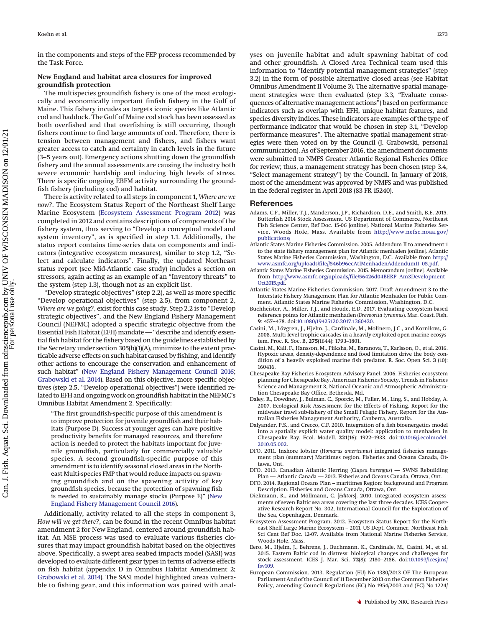in the components and steps of the FEP process recommended by the Task Force.

## **New England and habitat area closures for improved groundfish protection**

The multispecies groundfish fishery is one of the most ecologically and economically important finfish fishery in the Gulf of Maine. This fishery incudes as targets iconic species like Atlantic cod and haddock. The Gulf of Maine cod stock has been assessed as both overfished and that overfishing is still occurring, though fishers continue to find large amounts of cod. Therefore, there is tension between management and fishers, and fishers want greater access to catch and certainty in catch levels in the future (3–5 years out). Emergency actions shutting down the groundfish fishery and the annual assessments are causing the industry both severe economic hardship and inducing high levels of stress. There is specific ongoing EBFM activity surrounding the groundfish fishery (including cod) and habitat.

There is activity related to all steps in component 1, *Where are we now?*. The Ecosystem Status Report of the Northeast Shelf Large Marine Ecosystem [\(Ecosystem Assessment Program 2012\)](#page-17-12) was completed in 2012 and contains descriptions of components of the fishery system, thus serving to "Develop a conceptual model and system inventory", as is specified in step 1.1. Additionally, the status report contains time-series data on components and indicators (integrative ecosystem measures), similar to step 1.2, "Select and calculate indicators". Finally, the updated Northeast status report (see Mid-Atlantic case study) includes a section on stressors, again acting as an example of an "Inventory threats" to the system (step 1.3), though not as an explicit list.

"Develop strategic objectives" (step 2.2), as well as more specific "Develop operational objectives" (step 2.5), from component 2, *Where are we going?*, exist for this case study. Step 2.2 is to "Develop strategic objectives", and the New England Fishery Management Council (NEFMC) adopted a specific strategic objective from the Essential Fish Habitat (EFH) mandate — "describe and identify essential fish habitat for the fishery based on the guidelines established by the Secretary under section 305(b)(1)(A), minimize to the extent practicable adverse effects on such habitat caused by fishing, and identify other actions to encourage the conservation and enhancement of such habitat" [\(New England Fishery Management Council 2016;](#page-18-48) [Grabowski et al. 2014\)](#page-18-49). Based on this objective, more specific objectives (step 2.5, "Develop operational objectives") were identified related to EFH and ongoing work on groundfish habitat in the NEFMC's Omnibus Habitat Amendment 2. Specifically:

"The first groundfish-specific purpose of this amendment is to improve protection for juvenile groundfish and their habitats (Purpose D). Success at younger ages can have positive productivity benefits for managed resources, and therefore action is needed to protect the habitats important for juvenile groundfish, particularly for commercially valuable species. A second groundfish-specific purpose of this amendment is to identify seasonal closed areas in the Northeast Multi-species FMP that would reduce impacts on spawning groundfish and on the spawning activity of key groundfish species, because the protection of spawning fish is needed to sustainably manage stocks (Purpose E)" [\(New](#page-18-48) [England Fishery Management Council 2016\)](#page-18-48).

Additionally, activity related to all the steps in component 3, *How will we get there?*, can be found in the recent Omnibus habitat amendment 2 for New England, centered around groundfish habitat. An MSE process was used to evaluate various fisheries closures that may impact groundfish habitat based on the objectives above. Specifically, a swept area seabed impacts model (SASI) was developed to evaluate different gear types in terms of adverse effects on fish habitat (appendix D in Omnibus Habitat Amendment 2; [Grabowski et al. 2014\)](#page-18-49). The SASI model highlighted areas vulnerable to fishing gear, and this information was paired with analyses on juvenile habitat and adult spawning habitat of cod and other groundfish. A Closed Area Technical team used this information to "Identify potential management strategies" (step 3.2) in the form of possible alternative closed areas (see Habitat Omnibus Amendment II Volume 3). The alternative spatial management strategies were then evaluated (step 3.3, "Evaluate consequences of alternative management actions") based on performance indicators such as overlap with EFH, unique habitat features, and species diversity indices. These indicators are examples of the type of performance indicator that would be chosen in step 3.1, "Develop performance measures". The alternative spatial management strategies were then voted on by the Council (J. Grabowski, personal communication). As of September 2016, the amendment documents were submitted to NMFS Greater Atlantic Regional Fisheries Office for review; thus, a management strategy has been chosen (step 3.4, "Select management strategy") by the Council. In January of 2018, most of the amendment was approved by NMFS and was published in the federal register in April 2018 (83 FR 15240).

#### **References**

- <span id="page-17-9"></span>Adams, C.F., Miller, T.J., Manderson, J.P., Richardson, D.E., and Smith, B.E. 2015. Butterfish 2014 Stock Assessment. US Department of Commerce, Northeast Fish Science Center, Ref Doc. 15-06 [online]. National Marine Fisheries Service, Woods Hole, Mass. Available from [http://www.nefsc.noaa.gov/](http://www.nefsc.noaa.gov/publications/) [publications/](http://www.nefsc.noaa.gov/publications/)
- <span id="page-17-14"></span>Atlantic States Marine Fisheries Commission. 2005. Addendum II to amendment 1 to the state fishery management plan for Atlantic menhaden [online]. Atlantic States Marine Fisheries Commission, Washington, D.C. Available from [http://](http://www.asmfc.org/uploads/file//546b96ecAtlMenhadenAddendumII_05.pdf) [www.asmfc.org/uploads/file//546b96ecAtlMenhadenAddendumII\\_05.pdf.](http://www.asmfc.org/uploads/file//546b96ecAtlMenhadenAddendumII_05.pdf)
- <span id="page-17-15"></span>Atlantic States Marine Fisheries Commission. 2015. Memorandum [online]. Available from [http://www.asmfc.org/uploads/file/56426d04BERP\\_Am3Development\\_](http://www.asmfc.org/uploads/file/56426d04BERP_Am3Development_Oct2015.pdf) [Oct2015.pdf.](http://www.asmfc.org/uploads/file/56426d04BERP_Am3Development_Oct2015.pdf)
- <span id="page-17-13"></span>Atlantic States Marine Fisheries Commission. 2017. Draft Amendment 3 to the Interstate Fishery Management Plan for Atlantic Menhaden for Public Comment. Atlantic States Marine Fisheries Commission, Washington, D.C.
- <span id="page-17-16"></span>Buchheister, A., Miller, T.J., and Houde, E.D. 2017. Evaluating ecosystem-based reference points for Atlantic menhaden (*Brevoortia tyrannus*). Mar. Coast. Fish. **9**: 457–478. doi[:10.1080/19425120.2017.1360420.](http://dx.doi.org/10.1080/19425120.2017.1360420)
- <span id="page-17-1"></span>Casini, M., Lövgren, J., Hjelm, J., Cardinale, M., Molinero, J.C., and Kornilovs, G. 2008. Multi-level trophic cascades in a heavily exploited open marine ecosystem. Proc. R. Soc. B, **275**(1644): 1793–1801.
- <span id="page-17-2"></span>Casini, M., Käll, F., Hansson, M., Plikshs, M., Baranova, T., Karlsson, O., et al. 2016. Hypoxic areas, density-dependence and food limitation drive the body condition of a heavily exploited marine fish predator. R. Soc. Open Sci. **3** (10): 160416.
- <span id="page-17-11"></span>Chesapeake Bay Fisheries Ecosystem Advisory Panel. 2006. Fisheries ecosystem planning for Chesapeake Bay. American Fisheries Society, Trends in Fisheries Science and Management 3, National Oceanic and Atmospheric Administration Chesapeake Bay Office, Bethesda, Md.
- <span id="page-17-0"></span>Daley, R., Dowdney, J., Bulman, C., Sporcic, M., Fuller, M., Ling, S., and Hobday, A. 2007. Ecological Risk Assessment for the Effects of Fishing. Report for the midwater trawl sub-fishery of the Small Pelagic Fishery. Report for the Australian Fisheries Management Authority, Canberra, Australia.
- <span id="page-17-10"></span>Dalyander, P.S., and Crecco, C.F. 2010. Integration of a fish bioenergetics model into a spatially explicit water quality model: application to menhaden in Chesapeake Bay. Ecol. Modell. **221**(16): 1922–1933. doi[:10.1016/j.ecolmodel.](http://dx.doi.org/10.1016/j.ecolmodel.2010.05.002) [2010.05.002.](http://dx.doi.org/10.1016/j.ecolmodel.2010.05.002)
- <span id="page-17-7"></span>DFO. 2011. Inshore lobster (*Homarus americanus*) integrated fisheries management plan (summary) Maritimes region. Fisheries and Oceans Canada, Ottawa, Ont.
- <span id="page-17-8"></span>DFO. 2013. Canadian Atlantic Herring (*Clupea harengus*) — SWNS Rebuilding Plan — Atlantic Canada — 2013. Fisheries and Oceans Canada, Ottawa, Ont.
- <span id="page-17-6"></span>DFO. 2014. Regional Oceans Plan – maritimes Region: background and Program Description. Fisheries and Oceans Canada, Ottawa, Ont.
- <span id="page-17-4"></span>Diekmann, R., and Möllmann, C. [*Editors*]. 2010. Integrated ecosystem assessments of seven Baltic sea areas covering the last three decades. ICES Cooperative Research Report No. 302, International Council for the Exploration of the Sea, Copenhagen, Denmark.
- <span id="page-17-12"></span>Ecosystem Assessment Program. 2012. Ecosystem Status Report for the Northeast Shelf Large Marine Ecosystem – 2011. US Dept. Commer, Northeast Fish Sci Cent Ref Doc. 12-07. Available from National Marine Fisheries Service, Woods Hole, Mass.
- <span id="page-17-3"></span>Eero, M., Hjelm, J., Behrens, J., Buchmann, K., Cardinale, M., Casini, M., et al. 2015. Eastern Baltic cod in distress: biological changes and challenges for stock assessment. ICES J. Mar. Sci. **72**(8): 2180–2186. doi[:10.1093/icesjms/](http://dx.doi.org/10.1093/icesjms/fsv109) [fsv109.](http://dx.doi.org/10.1093/icesjms/fsv109)
- <span id="page-17-5"></span>European Commission. 2013. Regulation (EU) No 1380/2013 OF The European Parliament And of the Council of 11 December 2013 on the Common Fisheries Policy, amending Council Regulations (EC) No 1954/2003 and (EC) No 1224/